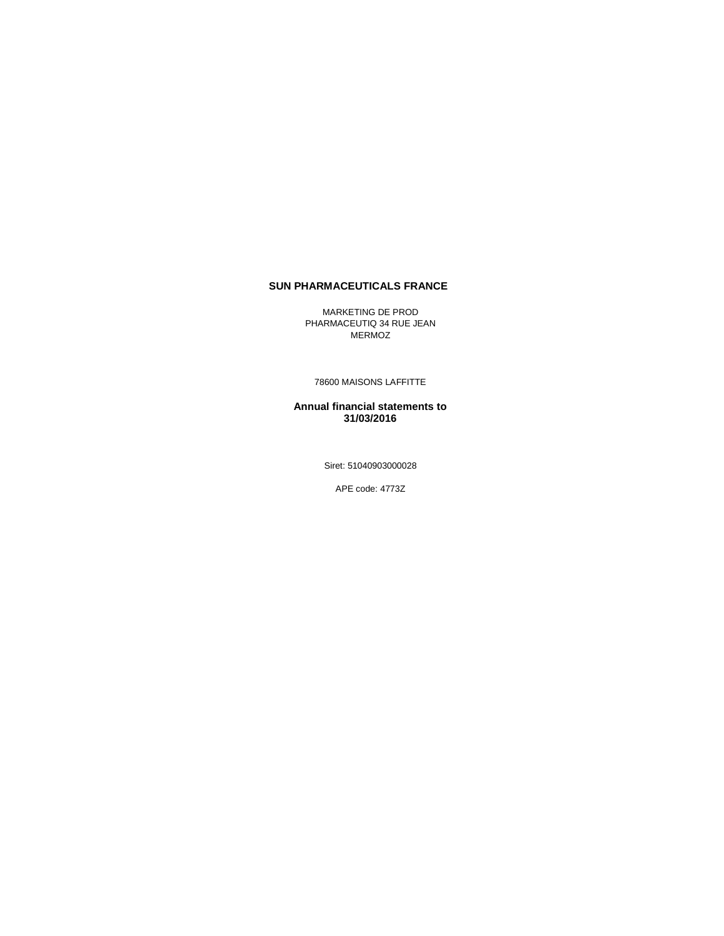#### **SUN PHARMACEUTICALS FRANCE**

MARKETING DE PROD PHARMACEUTIQ 34 RUE JEAN MERMOZ

78600 MAISONS LAFFITTE

**Annual financial statements to 31/03/2016**

Siret: 51040903000028

APE code: 4773Z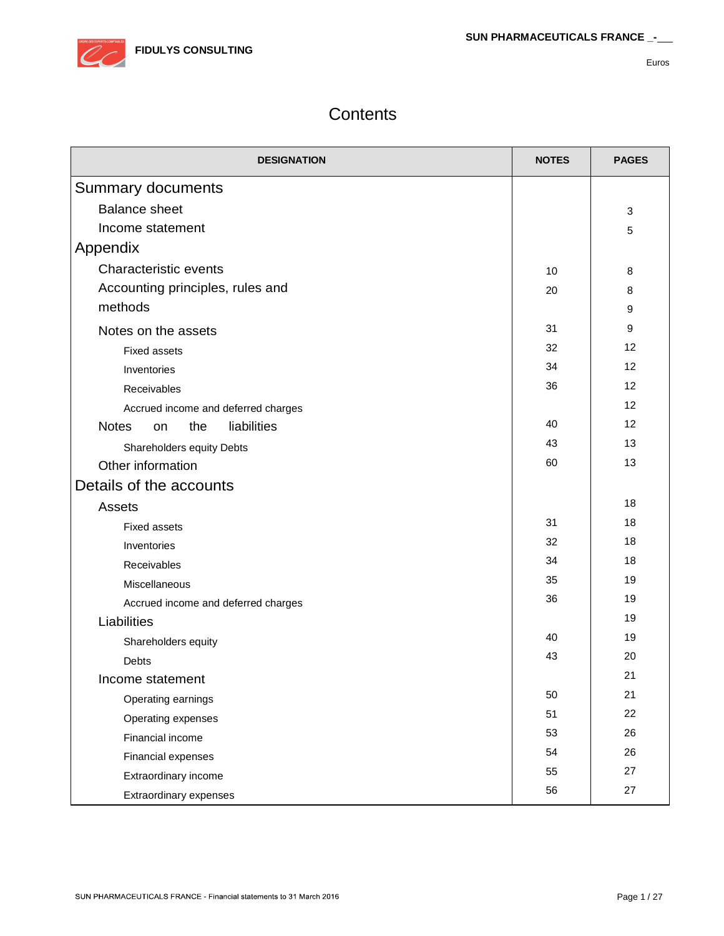

# **Contents**

| <b>DESIGNATION</b>                       | <b>NOTES</b> | <b>PAGES</b> |
|------------------------------------------|--------------|--------------|
| <b>Summary documents</b>                 |              |              |
| <b>Balance sheet</b>                     |              | 3            |
| Income statement                         |              | 5            |
| Appendix                                 |              |              |
| <b>Characteristic events</b>             | 10           | 8            |
| Accounting principles, rules and         | 20           | 8            |
| methods                                  |              | 9            |
| Notes on the assets                      | 31           | 9            |
| <b>Fixed assets</b>                      | 32           | 12           |
| Inventories                              | 34           | 12           |
| Receivables                              | 36           | 12           |
| Accrued income and deferred charges      |              | 12           |
| <b>Notes</b><br>liabilities<br>the<br>on | 40           | 12           |
| Shareholders equity Debts                | 43           | 13           |
| Other information                        | 60           | 13           |
| Details of the accounts                  |              |              |
| Assets                                   |              | 18           |
| <b>Fixed assets</b>                      | 31           | 18           |
| Inventories                              | 32           | 18           |
| Receivables                              | 34           | 18           |
| Miscellaneous                            | 35           | 19           |
| Accrued income and deferred charges      | 36           | 19           |
| Liabilities                              |              | 19           |
| Shareholders equity                      | 40           | 19           |
| Debts                                    | 43           | 20           |
| Income statement                         |              | 21           |
| Operating earnings                       | 50           | 21           |
| Operating expenses                       | 51           | 22           |
| Financial income                         | 53           | 26           |
| Financial expenses                       | 54           | 26           |
| Extraordinary income                     | 55           | 27           |
| Extraordinary expenses                   | 56           | 27           |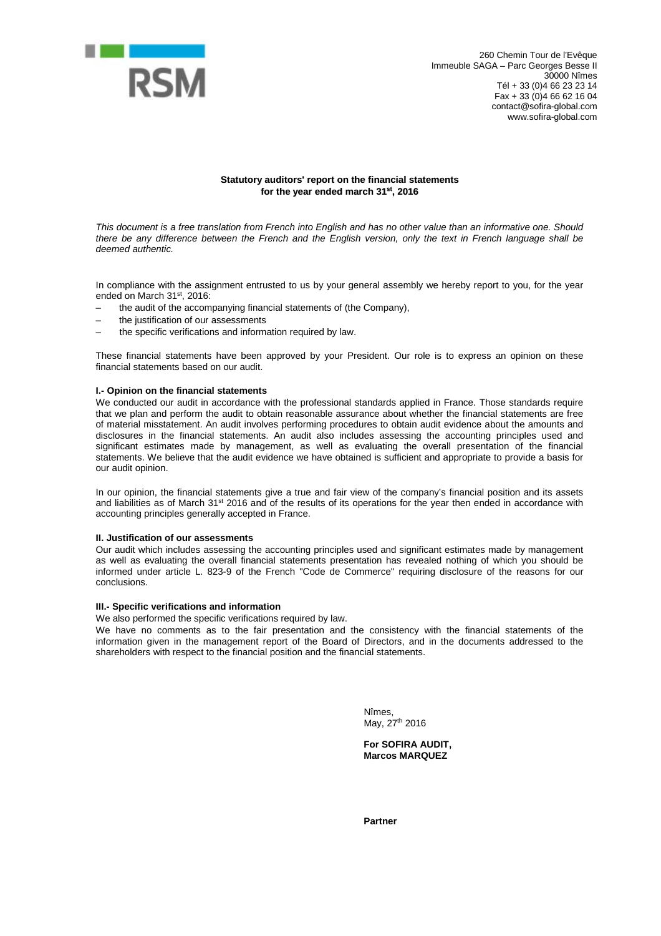

#### **Statutory auditors' report on the financial statements for the year ended march 31st , 2016**

*This document is a free translation from French into English and has no other value than an informative one. Should there be any difference between the French and the English version, only the text in French language shall be deemed authentic.*

In compliance with the assignment entrusted to us by your general assembly we hereby report to you, for the year ended on March 31<sup>st</sup>, 2016:

- the audit of the accompanying financial statements of (the Company),
- the justification of our assessments
- the specific verifications and information required by law.

These financial statements have been approved by your President. Our role is to express an opinion on these financial statements based on our audit.

#### **I.- Opinion on the financial statements**

We conducted our audit in accordance with the professional standards applied in France. Those standards require that we plan and perform the audit to obtain reasonable assurance about whether the financial statements are free of material misstatement. An audit involves performing procedures to obtain audit evidence about the amounts and disclosures in the financial statements. An audit also includes assessing the accounting principles used and significant estimates made by management, as well as evaluating the overall presentation of the financial statements. We believe that the audit evidence we have obtained is sufficient and appropriate to provide a basis for our audit opinion.

In our opinion, the financial statements give a true and fair view of the company's financial position and its assets and liabilities as of March 31<sup>st</sup> 2016 and of the results of its operations for the year then ended in accordance with accounting principles generally accepted in France.

#### **II. Justification of our assessments**

Our audit which includes assessing the accounting principles used and significant estimates made by management as well as evaluating the overall financial statements presentation has revealed nothing of which you should be informed under article L. 823-9 of the French "Code de Commerce" requiring disclosure of the reasons for our conclusions.

#### **III.- Specific verifications and information**

We also performed the specific verifications required by law.

We have no comments as to the fair presentation and the consistency with the financial statements of the information given in the management report of the Board of Directors, and in the documents addressed to the shareholders with respect to the financial position and the financial statements.

> Nîmes, May, 27<sup>th</sup> 2016

**For SOFIRA AUDIT, Marcos MARQUEZ**

**Partner**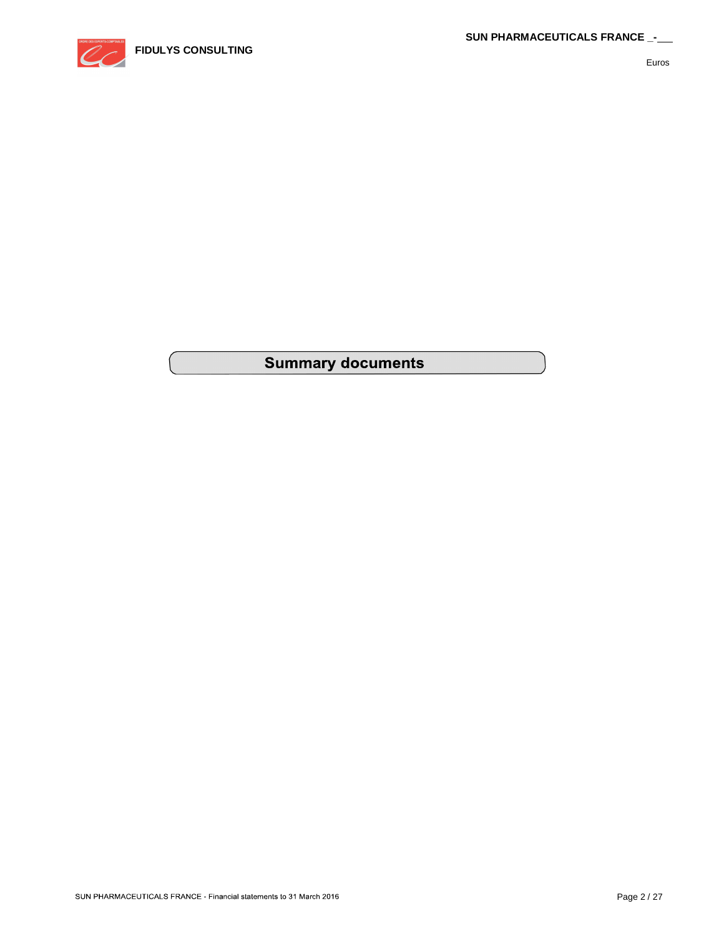

# **Summary documents**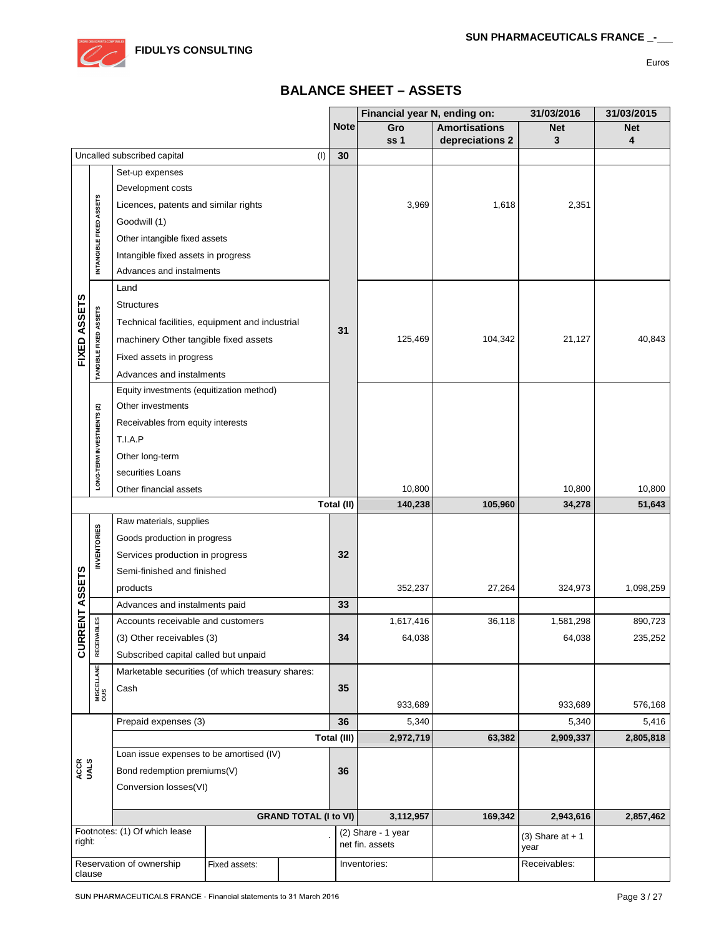# **BALANCE SHEET – ASSETS**

|                                                     |                           |                                                  |              |                              |              | Financial year N, ending on:    |                      | 31/03/2016                 | 31/03/2015 |
|-----------------------------------------------------|---------------------------|--------------------------------------------------|--------------|------------------------------|--------------|---------------------------------|----------------------|----------------------------|------------|
|                                                     |                           |                                                  |              |                              | <b>Note</b>  | Gro                             | <b>Amortisations</b> | <b>Net</b>                 | <b>Net</b> |
|                                                     |                           |                                                  |              |                              |              | ss <sub>1</sub>                 | depreciations 2      | 3                          | 4          |
|                                                     |                           | Uncalled subscribed capital                      |              | (1)                          | 30           |                                 |                      |                            |            |
|                                                     |                           | Set-up expenses                                  |              |                              |              |                                 |                      |                            |            |
|                                                     |                           | Development costs                                |              |                              |              |                                 |                      |                            |            |
|                                                     |                           | Licences, patents and similar rights             |              |                              |              | 3,969                           | 1,618                | 2,351                      |            |
|                                                     |                           | Goodwill (1)                                     |              |                              |              |                                 |                      |                            |            |
|                                                     |                           | Other intangible fixed assets                    |              |                              |              |                                 |                      |                            |            |
|                                                     | INTANGIBLE FIXED ASSETS   | Intangible fixed assets in progress              |              |                              |              |                                 |                      |                            |            |
|                                                     |                           | Advances and instalments                         |              |                              |              |                                 |                      |                            |            |
|                                                     |                           | Land                                             |              |                              |              |                                 |                      |                            |            |
|                                                     |                           | <b>Structures</b>                                |              |                              |              |                                 |                      |                            |            |
|                                                     |                           | Technical facilities, equipment and industrial   |              |                              | 31           |                                 |                      |                            |            |
| FIXED ASSETS                                        | TANGIBLE FIXED ASSETS     | machinery Other tangible fixed assets            |              |                              |              | 125,469                         | 104,342              | 21,127                     | 40,843     |
|                                                     |                           | Fixed assets in progress                         |              |                              |              |                                 |                      |                            |            |
|                                                     |                           | Advances and instalments                         |              |                              |              |                                 |                      |                            |            |
|                                                     |                           | Equity investments (equitization method)         |              |                              |              |                                 |                      |                            |            |
|                                                     |                           | Other investments                                |              |                              |              |                                 |                      |                            |            |
|                                                     |                           | Receivables from equity interests                |              |                              |              |                                 |                      |                            |            |
|                                                     |                           | T.I.A.P                                          |              |                              |              |                                 |                      |                            |            |
|                                                     | LONG-TERM INVESTMENTS (2) | Other long-term                                  |              |                              |              |                                 |                      |                            |            |
|                                                     |                           | securities Loans                                 |              |                              |              |                                 |                      |                            |            |
|                                                     |                           | Other financial assets                           |              |                              |              | 10,800                          |                      | 10,800                     | 10,800     |
|                                                     |                           |                                                  |              |                              | Total (II)   | 140,238                         | 105,960              | 34,278                     | 51,643     |
|                                                     | Raw materials, supplies   |                                                  |              |                              |              |                                 |                      |                            |            |
|                                                     |                           | Goods production in progress                     |              |                              |              |                                 |                      |                            |            |
|                                                     | <b>INVENTORIES</b>        | Services production in progress                  |              |                              | 32           |                                 |                      |                            |            |
|                                                     |                           | Semi-finished and finished                       |              |                              |              |                                 |                      |                            |            |
|                                                     |                           | products                                         |              |                              |              | 352,237                         | 27,264               | 324,973                    | 1,098,259  |
| RENT ASSETS                                         |                           | Advances and instalments paid                    |              |                              | 33           |                                 |                      |                            |            |
|                                                     | <b>ABLES</b>              | Accounts receivable and customers                |              |                              |              | 1,617,416                       | 36,118               | 1,581,298                  | 890,723    |
| CURI                                                | <b>RECEIV</b>             | (3) Other receivables (3)                        |              |                              | 34           | 64,038                          |                      | 64,038                     | 235,252    |
|                                                     |                           | Subscribed capital called but unpaid             |              |                              |              |                                 |                      |                            |            |
|                                                     | <b>MISCELLANE</b><br>OUS  | Marketable securities (of which treasury shares: |              |                              |              |                                 |                      |                            |            |
|                                                     |                           | Cash                                             |              |                              | 35           |                                 |                      |                            |            |
|                                                     |                           |                                                  |              |                              |              | 933,689                         |                      | 933,689                    | 576,168    |
|                                                     |                           | Prepaid expenses (3)                             |              |                              | 36           | 5,340                           |                      | 5,340                      | 5,416      |
|                                                     |                           |                                                  |              |                              | Total (III)  | 2,972,719                       | 63,382               | 2,909,337                  | 2,805,818  |
|                                                     |                           | Loan issue expenses to be amortised (IV)         |              |                              |              |                                 |                      |                            |            |
| ACCR<br>UALS                                        |                           | Bond redemption premiums(V)                      |              |                              | 36           |                                 |                      |                            |            |
|                                                     |                           | Conversion losses(VI)                            |              |                              |              |                                 |                      |                            |            |
|                                                     |                           |                                                  |              |                              |              |                                 |                      |                            |            |
|                                                     |                           | Footnotes: (1) Of which lease                    |              | <b>GRAND TOTAL (I to VI)</b> |              | 3,112,957<br>(2) Share - 1 year | 169,342              | 2,943,616                  | 2,857,462  |
| right:                                              |                           |                                                  |              |                              |              | net fin. assets                 |                      | $(3)$ Share at + 1<br>year |            |
| Reservation of ownership<br>Fixed assets:<br>clause |                           |                                                  | Inventories: |                              | Receivables: |                                 |                      |                            |            |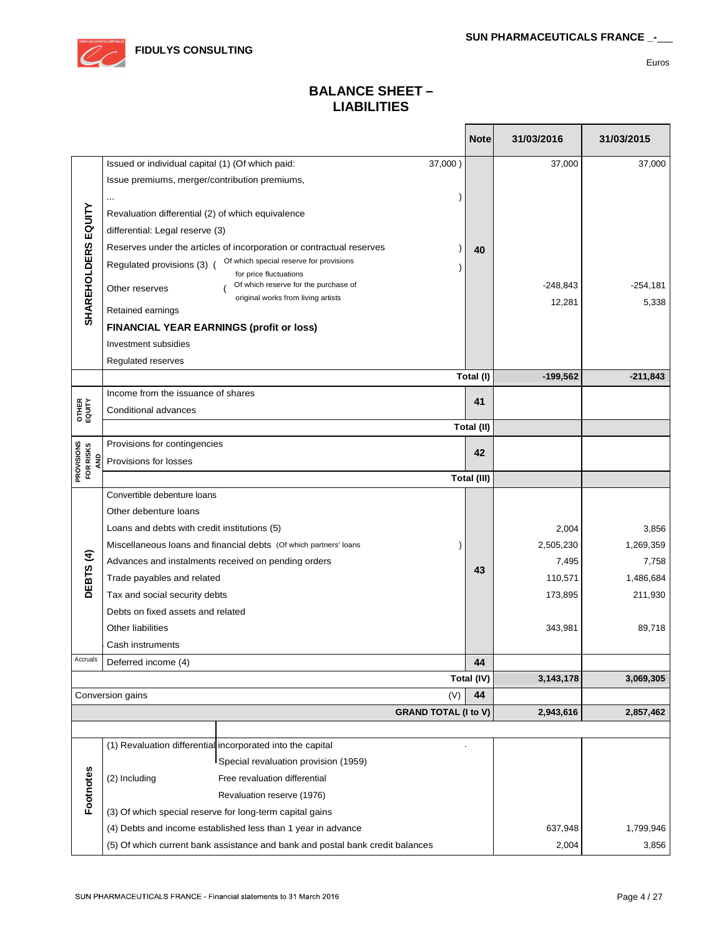

Т

 $\Box$ 

Euros

# **BALANCE SHEET – LIABILITIES**

| Issued or individual capital (1) (Of which paid:<br>37,000)<br>37,000<br>37,000<br>Issue premiums, merger/contribution premiums,<br>$\ddotsc$<br><b>SHAREHOLDERS EQUITY</b><br>Revaluation differential (2) of which equivalence<br>differential: Legal reserve (3)<br>Reserves under the articles of incorporation or contractual reserves<br>40<br>Of which special reserve for provisions<br>Regulated provisions (3) (<br>$\mathcal{I}$<br>for price fluctuations<br>Of which reserve for the purchase of<br>$-248,843$<br>$-254,181$<br>Other reserves<br>original works from living artists<br>5,338<br>12,281<br>Retained earnings<br><b>FINANCIAL YEAR EARNINGS (profit or loss)</b><br>Investment subsidies<br>Regulated reserves<br>Total (I)<br>$-199,562$<br>$-211,843$<br>Income from the issuance of shares<br>41<br>OTHER<br>EQUITY<br>Conditional advances<br>Total (II)<br>PROVISIONS<br>Provisions for contingencies<br>FOR RISKS<br>42<br>Provisions for losses<br>Total (III)<br>Convertible debenture loans<br>Other debenture loans<br>Loans and debts with credit institutions (5)<br>2,004<br>3,856<br>2,505,230<br>1,269,359<br>Miscellaneous loans and financial debts (Of which partners' loans<br>DEBTS (4)<br>7,495<br>7,758<br>Advances and instalments received on pending orders<br>43<br>1,486,684<br>Trade payables and related<br>110,571<br>211,930<br>Tax and social security debts<br>173,895<br>Debts on fixed assets and related<br>Other liabilities<br>343,981<br>89,718<br>Cash instruments<br>Accruals<br>44<br>Deferred income (4)<br>Total (IV)<br>3,143,178<br>3,069,305<br>(V)<br>Conversion gains<br>44<br><b>GRAND TOTAL (I to V)</b><br>2,943,616<br>2,857,462<br>(1) Revaluation differential incorporated into the capital<br>Special revaluation provision (1959)<br>Footnotes<br>(2) Including<br>Free revaluation differential<br>Revaluation reserve (1976)<br>(3) Of which special reserve for long-term capital gains |  |  |  | <b>Note</b> | 31/03/2016 | 31/03/2015 |
|----------------------------------------------------------------------------------------------------------------------------------------------------------------------------------------------------------------------------------------------------------------------------------------------------------------------------------------------------------------------------------------------------------------------------------------------------------------------------------------------------------------------------------------------------------------------------------------------------------------------------------------------------------------------------------------------------------------------------------------------------------------------------------------------------------------------------------------------------------------------------------------------------------------------------------------------------------------------------------------------------------------------------------------------------------------------------------------------------------------------------------------------------------------------------------------------------------------------------------------------------------------------------------------------------------------------------------------------------------------------------------------------------------------------------------------------------------------------------------------------------------------------------------------------------------------------------------------------------------------------------------------------------------------------------------------------------------------------------------------------------------------------------------------------------------------------------------------------------------------------------------------------------------------------------------------------------------------------------------|--|--|--|-------------|------------|------------|
|                                                                                                                                                                                                                                                                                                                                                                                                                                                                                                                                                                                                                                                                                                                                                                                                                                                                                                                                                                                                                                                                                                                                                                                                                                                                                                                                                                                                                                                                                                                                                                                                                                                                                                                                                                                                                                                                                                                                                                                  |  |  |  |             |            |            |
|                                                                                                                                                                                                                                                                                                                                                                                                                                                                                                                                                                                                                                                                                                                                                                                                                                                                                                                                                                                                                                                                                                                                                                                                                                                                                                                                                                                                                                                                                                                                                                                                                                                                                                                                                                                                                                                                                                                                                                                  |  |  |  |             |            |            |
|                                                                                                                                                                                                                                                                                                                                                                                                                                                                                                                                                                                                                                                                                                                                                                                                                                                                                                                                                                                                                                                                                                                                                                                                                                                                                                                                                                                                                                                                                                                                                                                                                                                                                                                                                                                                                                                                                                                                                                                  |  |  |  |             |            |            |
|                                                                                                                                                                                                                                                                                                                                                                                                                                                                                                                                                                                                                                                                                                                                                                                                                                                                                                                                                                                                                                                                                                                                                                                                                                                                                                                                                                                                                                                                                                                                                                                                                                                                                                                                                                                                                                                                                                                                                                                  |  |  |  |             |            |            |
|                                                                                                                                                                                                                                                                                                                                                                                                                                                                                                                                                                                                                                                                                                                                                                                                                                                                                                                                                                                                                                                                                                                                                                                                                                                                                                                                                                                                                                                                                                                                                                                                                                                                                                                                                                                                                                                                                                                                                                                  |  |  |  |             |            |            |
|                                                                                                                                                                                                                                                                                                                                                                                                                                                                                                                                                                                                                                                                                                                                                                                                                                                                                                                                                                                                                                                                                                                                                                                                                                                                                                                                                                                                                                                                                                                                                                                                                                                                                                                                                                                                                                                                                                                                                                                  |  |  |  |             |            |            |
|                                                                                                                                                                                                                                                                                                                                                                                                                                                                                                                                                                                                                                                                                                                                                                                                                                                                                                                                                                                                                                                                                                                                                                                                                                                                                                                                                                                                                                                                                                                                                                                                                                                                                                                                                                                                                                                                                                                                                                                  |  |  |  |             |            |            |
|                                                                                                                                                                                                                                                                                                                                                                                                                                                                                                                                                                                                                                                                                                                                                                                                                                                                                                                                                                                                                                                                                                                                                                                                                                                                                                                                                                                                                                                                                                                                                                                                                                                                                                                                                                                                                                                                                                                                                                                  |  |  |  |             |            |            |
|                                                                                                                                                                                                                                                                                                                                                                                                                                                                                                                                                                                                                                                                                                                                                                                                                                                                                                                                                                                                                                                                                                                                                                                                                                                                                                                                                                                                                                                                                                                                                                                                                                                                                                                                                                                                                                                                                                                                                                                  |  |  |  |             |            |            |
|                                                                                                                                                                                                                                                                                                                                                                                                                                                                                                                                                                                                                                                                                                                                                                                                                                                                                                                                                                                                                                                                                                                                                                                                                                                                                                                                                                                                                                                                                                                                                                                                                                                                                                                                                                                                                                                                                                                                                                                  |  |  |  |             |            |            |
|                                                                                                                                                                                                                                                                                                                                                                                                                                                                                                                                                                                                                                                                                                                                                                                                                                                                                                                                                                                                                                                                                                                                                                                                                                                                                                                                                                                                                                                                                                                                                                                                                                                                                                                                                                                                                                                                                                                                                                                  |  |  |  |             |            |            |
|                                                                                                                                                                                                                                                                                                                                                                                                                                                                                                                                                                                                                                                                                                                                                                                                                                                                                                                                                                                                                                                                                                                                                                                                                                                                                                                                                                                                                                                                                                                                                                                                                                                                                                                                                                                                                                                                                                                                                                                  |  |  |  |             |            |            |
|                                                                                                                                                                                                                                                                                                                                                                                                                                                                                                                                                                                                                                                                                                                                                                                                                                                                                                                                                                                                                                                                                                                                                                                                                                                                                                                                                                                                                                                                                                                                                                                                                                                                                                                                                                                                                                                                                                                                                                                  |  |  |  |             |            |            |
|                                                                                                                                                                                                                                                                                                                                                                                                                                                                                                                                                                                                                                                                                                                                                                                                                                                                                                                                                                                                                                                                                                                                                                                                                                                                                                                                                                                                                                                                                                                                                                                                                                                                                                                                                                                                                                                                                                                                                                                  |  |  |  |             |            |            |
|                                                                                                                                                                                                                                                                                                                                                                                                                                                                                                                                                                                                                                                                                                                                                                                                                                                                                                                                                                                                                                                                                                                                                                                                                                                                                                                                                                                                                                                                                                                                                                                                                                                                                                                                                                                                                                                                                                                                                                                  |  |  |  |             |            |            |
|                                                                                                                                                                                                                                                                                                                                                                                                                                                                                                                                                                                                                                                                                                                                                                                                                                                                                                                                                                                                                                                                                                                                                                                                                                                                                                                                                                                                                                                                                                                                                                                                                                                                                                                                                                                                                                                                                                                                                                                  |  |  |  |             |            |            |
|                                                                                                                                                                                                                                                                                                                                                                                                                                                                                                                                                                                                                                                                                                                                                                                                                                                                                                                                                                                                                                                                                                                                                                                                                                                                                                                                                                                                                                                                                                                                                                                                                                                                                                                                                                                                                                                                                                                                                                                  |  |  |  |             |            |            |
|                                                                                                                                                                                                                                                                                                                                                                                                                                                                                                                                                                                                                                                                                                                                                                                                                                                                                                                                                                                                                                                                                                                                                                                                                                                                                                                                                                                                                                                                                                                                                                                                                                                                                                                                                                                                                                                                                                                                                                                  |  |  |  |             |            |            |
|                                                                                                                                                                                                                                                                                                                                                                                                                                                                                                                                                                                                                                                                                                                                                                                                                                                                                                                                                                                                                                                                                                                                                                                                                                                                                                                                                                                                                                                                                                                                                                                                                                                                                                                                                                                                                                                                                                                                                                                  |  |  |  |             |            |            |
|                                                                                                                                                                                                                                                                                                                                                                                                                                                                                                                                                                                                                                                                                                                                                                                                                                                                                                                                                                                                                                                                                                                                                                                                                                                                                                                                                                                                                                                                                                                                                                                                                                                                                                                                                                                                                                                                                                                                                                                  |  |  |  |             |            |            |
|                                                                                                                                                                                                                                                                                                                                                                                                                                                                                                                                                                                                                                                                                                                                                                                                                                                                                                                                                                                                                                                                                                                                                                                                                                                                                                                                                                                                                                                                                                                                                                                                                                                                                                                                                                                                                                                                                                                                                                                  |  |  |  |             |            |            |
|                                                                                                                                                                                                                                                                                                                                                                                                                                                                                                                                                                                                                                                                                                                                                                                                                                                                                                                                                                                                                                                                                                                                                                                                                                                                                                                                                                                                                                                                                                                                                                                                                                                                                                                                                                                                                                                                                                                                                                                  |  |  |  |             |            |            |
|                                                                                                                                                                                                                                                                                                                                                                                                                                                                                                                                                                                                                                                                                                                                                                                                                                                                                                                                                                                                                                                                                                                                                                                                                                                                                                                                                                                                                                                                                                                                                                                                                                                                                                                                                                                                                                                                                                                                                                                  |  |  |  |             |            |            |
|                                                                                                                                                                                                                                                                                                                                                                                                                                                                                                                                                                                                                                                                                                                                                                                                                                                                                                                                                                                                                                                                                                                                                                                                                                                                                                                                                                                                                                                                                                                                                                                                                                                                                                                                                                                                                                                                                                                                                                                  |  |  |  |             |            |            |
|                                                                                                                                                                                                                                                                                                                                                                                                                                                                                                                                                                                                                                                                                                                                                                                                                                                                                                                                                                                                                                                                                                                                                                                                                                                                                                                                                                                                                                                                                                                                                                                                                                                                                                                                                                                                                                                                                                                                                                                  |  |  |  |             |            |            |
|                                                                                                                                                                                                                                                                                                                                                                                                                                                                                                                                                                                                                                                                                                                                                                                                                                                                                                                                                                                                                                                                                                                                                                                                                                                                                                                                                                                                                                                                                                                                                                                                                                                                                                                                                                                                                                                                                                                                                                                  |  |  |  |             |            |            |
|                                                                                                                                                                                                                                                                                                                                                                                                                                                                                                                                                                                                                                                                                                                                                                                                                                                                                                                                                                                                                                                                                                                                                                                                                                                                                                                                                                                                                                                                                                                                                                                                                                                                                                                                                                                                                                                                                                                                                                                  |  |  |  |             |            |            |
|                                                                                                                                                                                                                                                                                                                                                                                                                                                                                                                                                                                                                                                                                                                                                                                                                                                                                                                                                                                                                                                                                                                                                                                                                                                                                                                                                                                                                                                                                                                                                                                                                                                                                                                                                                                                                                                                                                                                                                                  |  |  |  |             |            |            |
|                                                                                                                                                                                                                                                                                                                                                                                                                                                                                                                                                                                                                                                                                                                                                                                                                                                                                                                                                                                                                                                                                                                                                                                                                                                                                                                                                                                                                                                                                                                                                                                                                                                                                                                                                                                                                                                                                                                                                                                  |  |  |  |             |            |            |
|                                                                                                                                                                                                                                                                                                                                                                                                                                                                                                                                                                                                                                                                                                                                                                                                                                                                                                                                                                                                                                                                                                                                                                                                                                                                                                                                                                                                                                                                                                                                                                                                                                                                                                                                                                                                                                                                                                                                                                                  |  |  |  |             |            |            |
|                                                                                                                                                                                                                                                                                                                                                                                                                                                                                                                                                                                                                                                                                                                                                                                                                                                                                                                                                                                                                                                                                                                                                                                                                                                                                                                                                                                                                                                                                                                                                                                                                                                                                                                                                                                                                                                                                                                                                                                  |  |  |  |             |            |            |
|                                                                                                                                                                                                                                                                                                                                                                                                                                                                                                                                                                                                                                                                                                                                                                                                                                                                                                                                                                                                                                                                                                                                                                                                                                                                                                                                                                                                                                                                                                                                                                                                                                                                                                                                                                                                                                                                                                                                                                                  |  |  |  |             |            |            |
|                                                                                                                                                                                                                                                                                                                                                                                                                                                                                                                                                                                                                                                                                                                                                                                                                                                                                                                                                                                                                                                                                                                                                                                                                                                                                                                                                                                                                                                                                                                                                                                                                                                                                                                                                                                                                                                                                                                                                                                  |  |  |  |             |            |            |
|                                                                                                                                                                                                                                                                                                                                                                                                                                                                                                                                                                                                                                                                                                                                                                                                                                                                                                                                                                                                                                                                                                                                                                                                                                                                                                                                                                                                                                                                                                                                                                                                                                                                                                                                                                                                                                                                                                                                                                                  |  |  |  |             |            |            |
|                                                                                                                                                                                                                                                                                                                                                                                                                                                                                                                                                                                                                                                                                                                                                                                                                                                                                                                                                                                                                                                                                                                                                                                                                                                                                                                                                                                                                                                                                                                                                                                                                                                                                                                                                                                                                                                                                                                                                                                  |  |  |  |             |            |            |
|                                                                                                                                                                                                                                                                                                                                                                                                                                                                                                                                                                                                                                                                                                                                                                                                                                                                                                                                                                                                                                                                                                                                                                                                                                                                                                                                                                                                                                                                                                                                                                                                                                                                                                                                                                                                                                                                                                                                                                                  |  |  |  |             |            |            |
|                                                                                                                                                                                                                                                                                                                                                                                                                                                                                                                                                                                                                                                                                                                                                                                                                                                                                                                                                                                                                                                                                                                                                                                                                                                                                                                                                                                                                                                                                                                                                                                                                                                                                                                                                                                                                                                                                                                                                                                  |  |  |  |             |            |            |
|                                                                                                                                                                                                                                                                                                                                                                                                                                                                                                                                                                                                                                                                                                                                                                                                                                                                                                                                                                                                                                                                                                                                                                                                                                                                                                                                                                                                                                                                                                                                                                                                                                                                                                                                                                                                                                                                                                                                                                                  |  |  |  |             |            |            |
|                                                                                                                                                                                                                                                                                                                                                                                                                                                                                                                                                                                                                                                                                                                                                                                                                                                                                                                                                                                                                                                                                                                                                                                                                                                                                                                                                                                                                                                                                                                                                                                                                                                                                                                                                                                                                                                                                                                                                                                  |  |  |  |             |            |            |
| 1,799,946<br>637,948<br>(4) Debts and income established less than 1 year in advance                                                                                                                                                                                                                                                                                                                                                                                                                                                                                                                                                                                                                                                                                                                                                                                                                                                                                                                                                                                                                                                                                                                                                                                                                                                                                                                                                                                                                                                                                                                                                                                                                                                                                                                                                                                                                                                                                             |  |  |  |             |            |            |
| (5) Of which current bank assistance and bank and postal bank credit balances<br>2,004<br>3,856                                                                                                                                                                                                                                                                                                                                                                                                                                                                                                                                                                                                                                                                                                                                                                                                                                                                                                                                                                                                                                                                                                                                                                                                                                                                                                                                                                                                                                                                                                                                                                                                                                                                                                                                                                                                                                                                                  |  |  |  |             |            |            |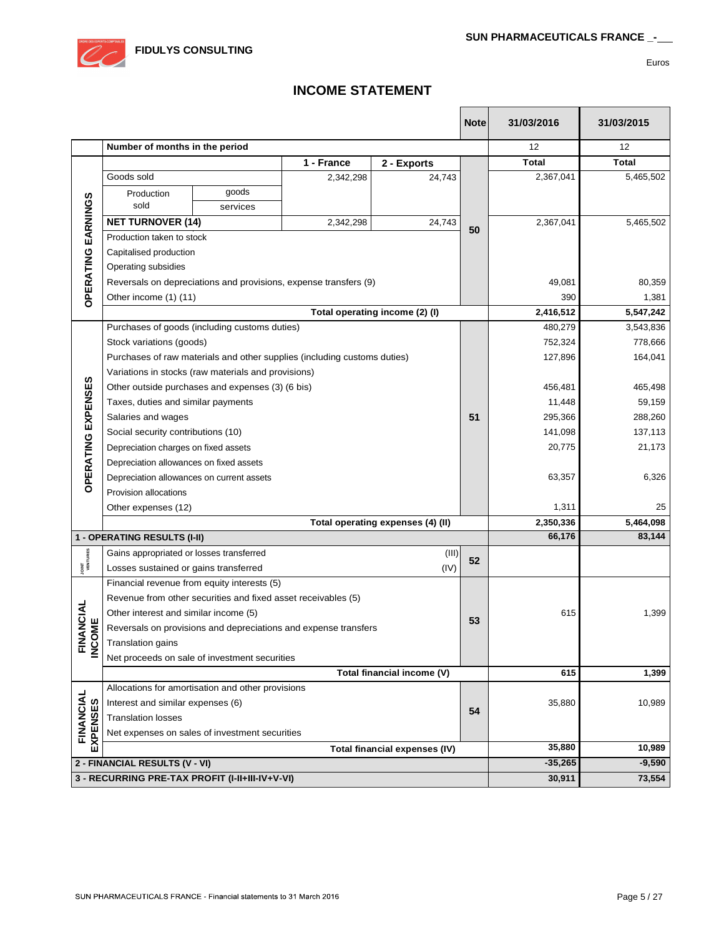

# **INCOME STATEMENT**

 $\mathsf{r}$ 

Т

|                          |                                          |                                                               |                                                                          |                                   | <b>Note</b> | 31/03/2016   | 31/03/2015   |
|--------------------------|------------------------------------------|---------------------------------------------------------------|--------------------------------------------------------------------------|-----------------------------------|-------------|--------------|--------------|
|                          | Number of months in the period           |                                                               |                                                                          |                                   |             | 12           | 12           |
|                          | 1 - France<br>2 - Exports                |                                                               |                                                                          |                                   |             | <b>Total</b> | <b>Total</b> |
|                          | Goods sold                               |                                                               | 2,342,298                                                                | 24,743                            |             | 2,367,041    | 5,465,502    |
|                          | Production                               | goods                                                         |                                                                          |                                   |             |              |              |
|                          | sold                                     | services                                                      |                                                                          |                                   |             |              |              |
|                          | <b>NET TURNOVER (14)</b>                 |                                                               | 2,342,298                                                                | 24,743                            |             | 2,367,041    | 5,465,502    |
| EARNINGS                 | Production taken to stock                |                                                               |                                                                          |                                   | 50          |              |              |
|                          | Capitalised production                   |                                                               |                                                                          |                                   |             |              |              |
|                          | Operating subsidies                      |                                                               |                                                                          |                                   |             |              |              |
|                          |                                          |                                                               | Reversals on depreciations and provisions, expense transfers (9)         |                                   |             | 49,081       | 80,359       |
| <b>OPERATING</b>         | Other income (1) (11)                    |                                                               |                                                                          |                                   |             | 390          | 1,381        |
|                          |                                          |                                                               |                                                                          | Total operating income (2) (I)    |             | 2,416,512    | 5,547,242    |
|                          |                                          | Purchases of goods (including customs duties)                 |                                                                          |                                   |             | 480,279      | 3,543,836    |
|                          | Stock variations (goods)                 |                                                               |                                                                          |                                   |             | 752,324      | 778,666      |
|                          |                                          |                                                               | Purchases of raw materials and other supplies (including customs duties) |                                   |             | 127,896      | 164,041      |
|                          |                                          | Variations in stocks (raw materials and provisions)           |                                                                          |                                   |             |              |              |
|                          |                                          | Other outside purchases and expenses (3) (6 bis)              |                                                                          |                                   |             | 456,481      | 465,498      |
|                          | Taxes, duties and similar payments       |                                                               |                                                                          | 11,448                            | 59,159      |              |              |
|                          | Salaries and wages                       |                                                               |                                                                          |                                   |             | 295,366      | 288,260      |
|                          | Social security contributions (10)       |                                                               |                                                                          |                                   |             | 141,098      | 137,113      |
|                          | Depreciation charges on fixed assets     |                                                               |                                                                          |                                   |             | 20,775       | 21,173       |
| OPERATING EXPENSES       | Depreciation allowances on fixed assets  |                                                               |                                                                          |                                   |             |              |              |
|                          |                                          | Depreciation allowances on current assets                     |                                                                          | 63,357                            | 6,326       |              |              |
|                          | Provision allocations                    |                                                               |                                                                          |                                   |             |              |              |
|                          | Other expenses (12)                      |                                                               |                                                                          |                                   |             | 1,311        | 25           |
|                          |                                          |                                                               |                                                                          | Total operating expenses (4) (II) |             | 2,350,336    | 5,464,098    |
|                          | 1 - OPERATING RESULTS (I-II)             |                                                               |                                                                          |                                   |             | 66,176       | 83,144       |
| <b>JOINT</b><br>VENTURES | Gains appropriated or losses transferred |                                                               |                                                                          | (III)                             | 52          |              |              |
|                          | Losses sustained or gains transferred    |                                                               |                                                                          | (IV)                              |             |              |              |
|                          |                                          | Financial revenue from equity interests (5)                   |                                                                          |                                   |             |              |              |
|                          |                                          | Revenue from other securities and fixed asset receivables (5) |                                                                          |                                   |             |              |              |
| <b>NANCIAL</b>           | Other interest and similar income (5)    |                                                               | 53                                                                       | 615                               | 1,399       |              |              |
|                          |                                          |                                                               | Reversals on provisions and depreciations and expense transfers          |                                   |             |              |              |
| <b>FINANC</b><br>INCOME  | Translation gains                        |                                                               |                                                                          |                                   |             |              |              |
|                          |                                          | Net proceeds on sale of investment securities                 |                                                                          |                                   |             |              |              |
|                          |                                          |                                                               |                                                                          | 615                               | 1,399       |              |              |
|                          |                                          | Allocations for amortisation and other provisions             |                                                                          |                                   |             |              |              |
| FINANCIAL                | Interest and similar expenses (6)        |                                                               |                                                                          |                                   | 54          | 35,880       | 10,989       |
|                          | <b>Translation losses</b>                |                                                               |                                                                          |                                   |             |              |              |
| <b>EXPENSES</b>          |                                          | Net expenses on sales of investment securities                |                                                                          | Total financial expenses (IV)     |             |              |              |
|                          |                                          |                                                               |                                                                          | 35,880                            | 10,989      |              |              |
|                          | 2 - FINANCIAL RESULTS (V - VI)           |                                                               |                                                                          |                                   |             | $-35,265$    | $-9,590$     |
|                          |                                          | 3 - RECURRING PRE-TAX PROFIT (I-II+III-IV+V-VI)               |                                                                          |                                   |             | 30,911       | 73,554       |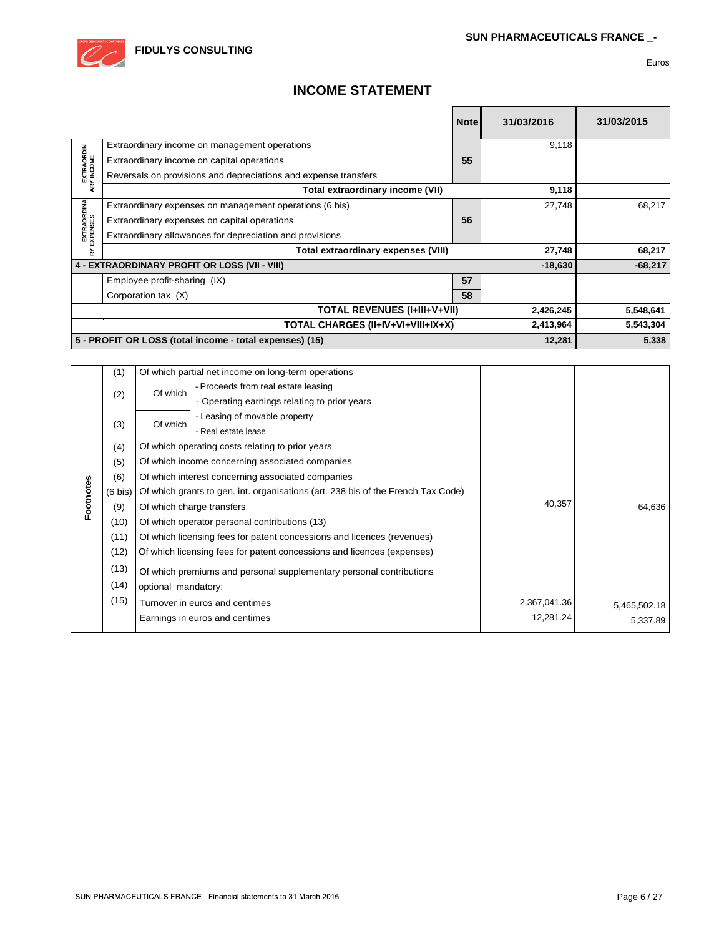

# **INCOME STATEMENT**

|                          |                                                                 | <b>Note</b> | 31/03/2016 | 31/03/2015 |
|--------------------------|-----------------------------------------------------------------|-------------|------------|------------|
|                          | Extraordinary income on management operations                   |             | 9,118      |            |
|                          | Extraordinary income on capital operations                      | 55          |            |            |
| EXTRAORDIN<br>ARY INCOME | Reversals on provisions and depreciations and expense transfers |             |            |            |
|                          | Total extraordinary income (VII)                                |             | 9,118      |            |
|                          | Extraordinary expenses on management operations (6 bis)         |             | 27,748     | 68,217     |
|                          | Extraordinary expenses on capital operations                    | 56          |            |            |
| EXTRAORDINA<br>EXPENSES  | Extraordinary allowances for depreciation and provisions        |             |            |            |
| ⋩                        | Total extraordinary expenses (VIII)                             |             | 27,748     | 68,217     |
|                          | 4 - EXTRAORDINARY PROFIT OR LOSS (VII - VIII)                   |             | $-18,630$  | $-68,217$  |
|                          | Employee profit-sharing (IX)                                    | 57          |            |            |
|                          | Corporation tax (X)                                             | 58          |            |            |
|                          | <b>TOTAL REVENUES (I+III+V+VII)</b>                             |             |            | 5,548,641  |
|                          | TOTAL CHARGES (II+IV+VI+VIII+IX+X)                              |             |            | 5,543,304  |
|                          | 5 - PROFIT OR LOSS (total income - total expenses) (15)         |             | 12,281     | 5,338      |

|           | (1)               |                     | Of which partial net income on long-term operations                              |              |              |
|-----------|-------------------|---------------------|----------------------------------------------------------------------------------|--------------|--------------|
|           |                   | Of which            | - Proceeds from real estate leasing                                              |              |              |
|           | (2)               |                     | - Operating earnings relating to prior years                                     |              |              |
|           |                   | Of which            | - Leasing of movable property                                                    |              |              |
|           | (3)               |                     | - Real estate lease                                                              |              |              |
|           | (4)               |                     | Of which operating costs relating to prior years                                 |              |              |
|           | (5)               |                     | Of which income concerning associated companies                                  |              |              |
|           | (6)               |                     | Of which interest concerning associated companies                                |              |              |
|           | $(6 \text{ bis})$ |                     | Of which grants to gen. int. organisations (art. 238 bis of the French Tax Code) |              |              |
| Footnotes | (9)               |                     | Of which charge transfers                                                        | 40,357       | 64,636       |
|           | (10)              |                     | Of which operator personal contributions (13)                                    |              |              |
|           | (11)              |                     | Of which licensing fees for patent concessions and licences (revenues)           |              |              |
|           | (12)              |                     | Of which licensing fees for patent concessions and licences (expenses)           |              |              |
|           | (13)              |                     | Of which premiums and personal supplementary personal contributions              |              |              |
|           | (14)              | optional mandatory: |                                                                                  |              |              |
|           | (15)              |                     | Turnover in euros and centimes                                                   | 2,367,041.36 | 5,465,502.18 |
|           |                   |                     | Earnings in euros and centimes                                                   | 12,281.24    | 5,337.89     |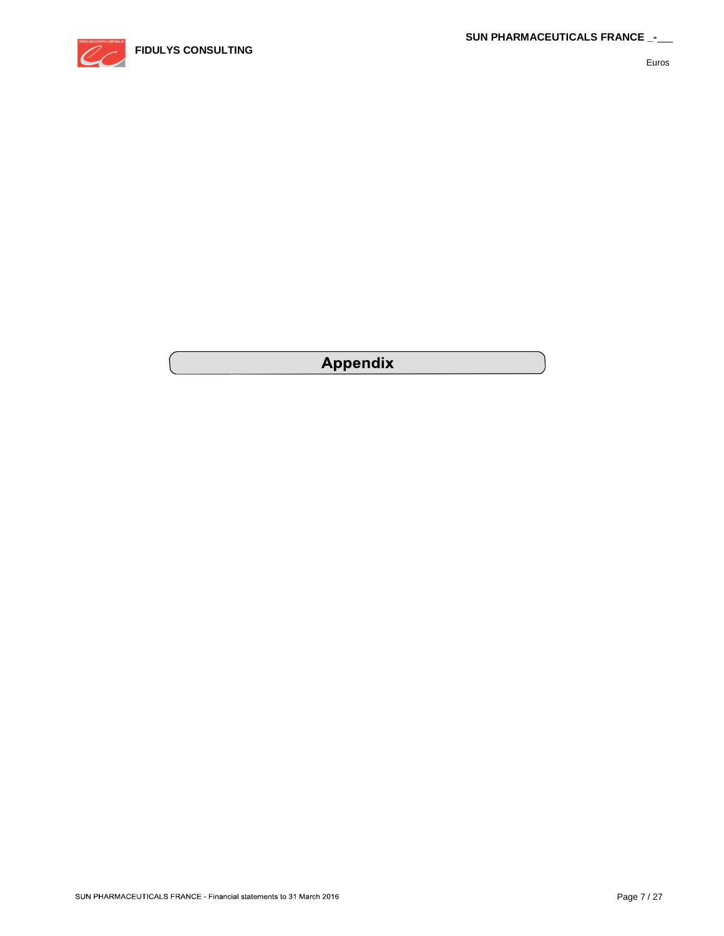

# **Appendix**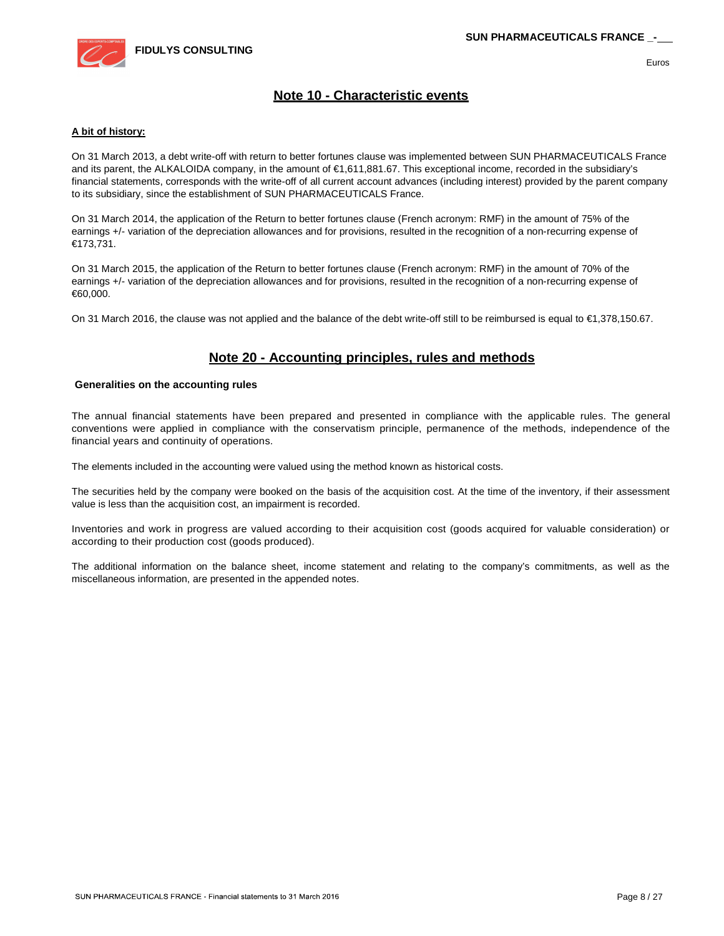

## **Note 10 - Characteristic events**

#### **A bit of history:**

On 31 March 2013, a debt write-off with return to better fortunes clause was implemented between SUN PHARMACEUTICALS France and its parent, the ALKALOIDA company, in the amount of €1,611,881.67. This exceptional income, recorded in the subsidiary's financial statements, corresponds with the write-off of all current account advances (including interest) provided by the parent company to its subsidiary, since the establishment of SUN PHARMACEUTICALS France.

On 31 March 2014, the application of the Return to better fortunes clause (French acronym: RMF) in the amount of 75% of the earnings +/- variation of the depreciation allowances and for provisions, resulted in the recognition of a non-recurring expense of €173,731.

On 31 March 2015, the application of the Return to better fortunes clause (French acronym: RMF) in the amount of 70% of the earnings +/- variation of the depreciation allowances and for provisions, resulted in the recognition of a non-recurring expense of €60,000.

On 31 March 2016, the clause was not applied and the balance of the debt write-off still to be reimbursed is equal to €1,378,150.67.

### **Note 20 - Accounting principles, rules and methods**

#### **Generalities on the accounting rules**

The annual financial statements have been prepared and presented in compliance with the applicable rules. The general conventions were applied in compliance with the conservatism principle, permanence of the methods, independence of the financial years and continuity of operations.

The elements included in the accounting were valued using the method known as historical costs.

The securities held by the company were booked on the basis of the acquisition cost. At the time of the inventory, if their assessment value is less than the acquisition cost, an impairment is recorded.

Inventories and work in progress are valued according to their acquisition cost (goods acquired for valuable consideration) or according to their production cost (goods produced).

The additional information on the balance sheet, income statement and relating to the company's commitments, as well as the miscellaneous information, are presented in the appended notes.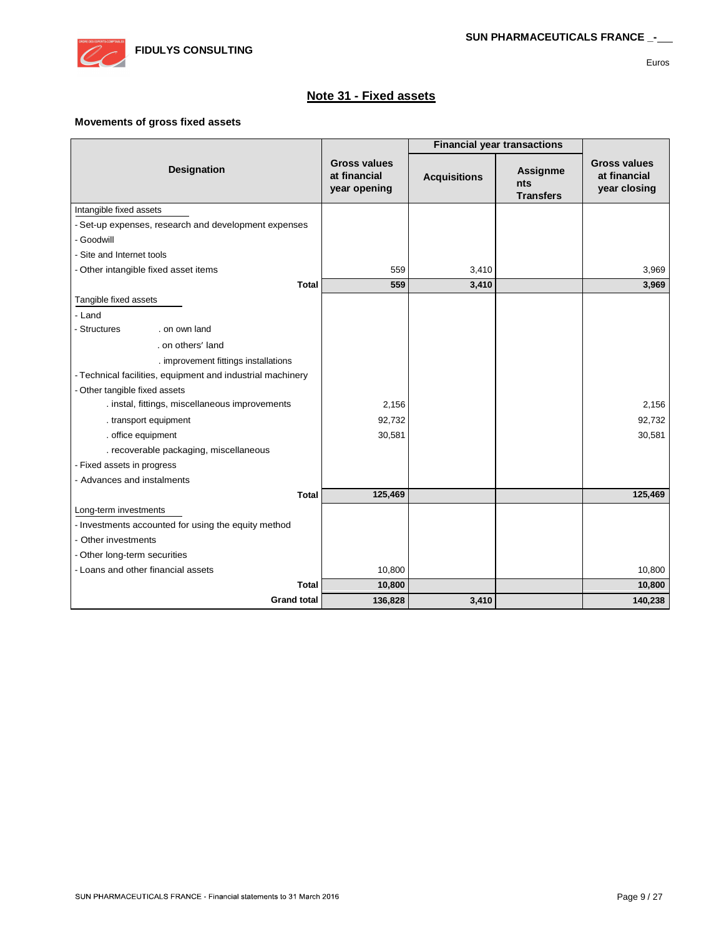

# **Note 31 - Fixed assets**

#### **Movements of gross fixed assets**

|                                                            |                                                     | <b>Financial year transactions</b> |                                                   |                                                     |
|------------------------------------------------------------|-----------------------------------------------------|------------------------------------|---------------------------------------------------|-----------------------------------------------------|
| Designation                                                | <b>Gross values</b><br>at financial<br>year opening | <b>Acquisitions</b>                | <b>Assignme</b><br><b>nts</b><br><b>Transfers</b> | <b>Gross values</b><br>at financial<br>year closing |
| Intangible fixed assets                                    |                                                     |                                    |                                                   |                                                     |
| - Set-up expenses, research and development expenses       |                                                     |                                    |                                                   |                                                     |
| - Goodwill                                                 |                                                     |                                    |                                                   |                                                     |
| - Site and Internet tools                                  |                                                     |                                    |                                                   |                                                     |
| - Other intangible fixed asset items                       | 559                                                 | 3,410                              |                                                   | 3,969                                               |
| <b>Total</b>                                               | 559                                                 | 3,410                              |                                                   | 3,969                                               |
| Tangible fixed assets                                      |                                                     |                                    |                                                   |                                                     |
| - Land                                                     |                                                     |                                    |                                                   |                                                     |
| - Structures<br>. on own land                              |                                                     |                                    |                                                   |                                                     |
| . on others' land                                          |                                                     |                                    |                                                   |                                                     |
| . improvement fittings installations                       |                                                     |                                    |                                                   |                                                     |
| - Technical facilities, equipment and industrial machinery |                                                     |                                    |                                                   |                                                     |
| - Other tangible fixed assets                              |                                                     |                                    |                                                   |                                                     |
| . instal, fittings, miscellaneous improvements             | 2,156                                               |                                    |                                                   | 2,156                                               |
| . transport equipment                                      | 92,732                                              |                                    |                                                   | 92,732                                              |
| . office equipment                                         | 30,581                                              |                                    |                                                   | 30,581                                              |
| . recoverable packaging, miscellaneous                     |                                                     |                                    |                                                   |                                                     |
| - Fixed assets in progress                                 |                                                     |                                    |                                                   |                                                     |
| - Advances and instalments                                 |                                                     |                                    |                                                   |                                                     |
| <b>Total</b>                                               | 125,469                                             |                                    |                                                   | 125,469                                             |
| Long-term investments                                      |                                                     |                                    |                                                   |                                                     |
| - Investments accounted for using the equity method        |                                                     |                                    |                                                   |                                                     |
| - Other investments                                        |                                                     |                                    |                                                   |                                                     |
| - Other long-term securities                               |                                                     |                                    |                                                   |                                                     |
| - Loans and other financial assets                         | 10,800                                              |                                    |                                                   | 10,800                                              |
| Total                                                      | 10,800                                              |                                    |                                                   | 10,800                                              |
| <b>Grand total</b>                                         | 136,828                                             | 3,410                              |                                                   | 140,238                                             |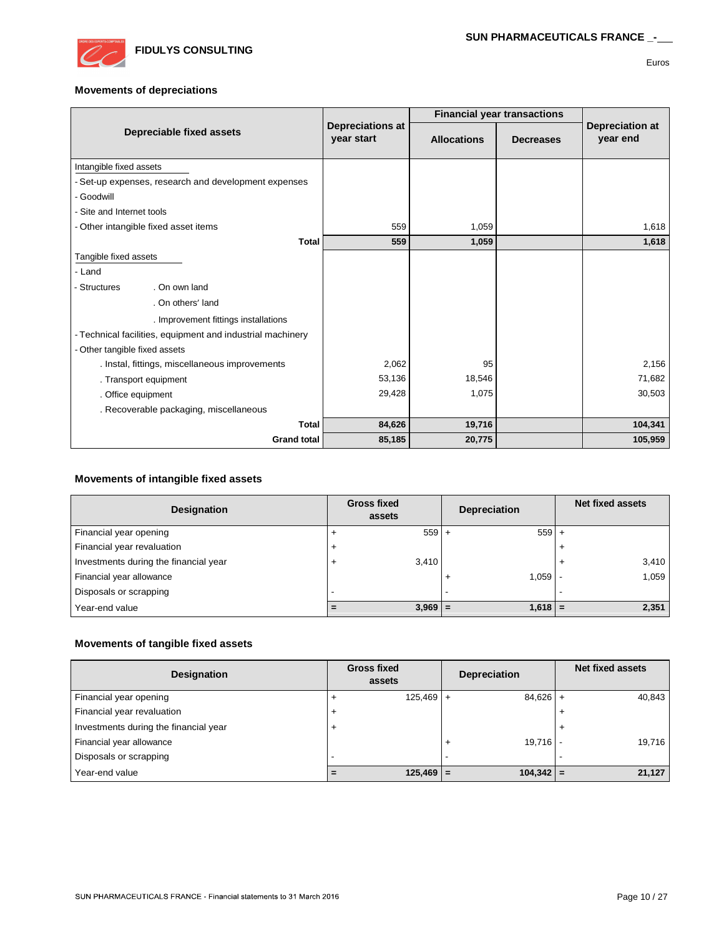

#### **Movements of depreciations**

|                                                            |                                       | <b>Financial year transactions</b> |                  |                             |
|------------------------------------------------------------|---------------------------------------|------------------------------------|------------------|-----------------------------|
| Depreciable fixed assets                                   | <b>Depreciations at</b><br>year start | <b>Allocations</b>                 | <b>Decreases</b> | Depreciation at<br>year end |
| Intangible fixed assets                                    |                                       |                                    |                  |                             |
| - Set-up expenses, research and development expenses       |                                       |                                    |                  |                             |
| - Goodwill                                                 |                                       |                                    |                  |                             |
| - Site and Internet tools                                  |                                       |                                    |                  |                             |
| - Other intangible fixed asset items                       | 559                                   | 1,059                              |                  | 1,618                       |
| <b>Total</b>                                               | 559                                   | 1,059                              |                  | 1,618                       |
| Tangible fixed assets                                      |                                       |                                    |                  |                             |
| - Land                                                     |                                       |                                    |                  |                             |
| . On own land<br>- Structures                              |                                       |                                    |                  |                             |
| . On others' land                                          |                                       |                                    |                  |                             |
| . Improvement fittings installations                       |                                       |                                    |                  |                             |
| - Technical facilities, equipment and industrial machinery |                                       |                                    |                  |                             |
| - Other tangible fixed assets                              |                                       |                                    |                  |                             |
| . Instal, fittings, miscellaneous improvements             | 2,062                                 | 95                                 |                  | 2,156                       |
| . Transport equipment                                      | 53,136                                | 18,546                             |                  | 71,682                      |
| . Office equipment                                         | 29,428                                | 1,075                              |                  | 30,503                      |
| . Recoverable packaging, miscellaneous                     |                                       |                                    |                  |                             |
| <b>Total</b>                                               | 84,626                                | 19,716                             |                  | 104,341                     |
| <b>Grand total</b>                                         | 85,185                                | 20,775                             |                  | 105,959                     |

#### **Movements of intangible fixed assets**

| Designation                           | <b>Gross fixed</b><br>assets |           | <b>Depreciation</b>      | <b>Net fixed assets</b> |
|---------------------------------------|------------------------------|-----------|--------------------------|-------------------------|
| Financial year opening                |                              | $559 +$   | $559 +$                  |                         |
| Financial year revaluation            |                              |           |                          |                         |
| Investments during the financial year | $\overline{ }$               | 3,410     |                          | 3,410                   |
| Financial year allowance              |                              |           | 1.059<br>$\overline{1}$  | 1,059                   |
| Disposals or scrapping                |                              |           | $\overline{\phantom{a}}$ |                         |
| Year-end value                        | $\equiv$                     | $3,969$ = | $1,618$ =                | 2,351                   |

### **Movements of tangible fixed assets**

| Designation                           | <b>Gross fixed</b><br>assets |             | <b>Depreciation</b> | Net fixed assets |
|---------------------------------------|------------------------------|-------------|---------------------|------------------|
| Financial year opening                | $\overline{ }$               | $125,469 +$ | $84,626$ +          | 40,843           |
| Financial year revaluation            | $\overline{ }$               |             |                     |                  |
| Investments during the financial year | $\overline{+}$               |             |                     |                  |
| Financial year allowance              |                              |             | 19,716              | 19,716           |
| Disposals or scrapping                | -                            |             | -                   |                  |
| Year-end value                        | $=$                          | $125,469$ = | $104,342$ =         | 21,127           |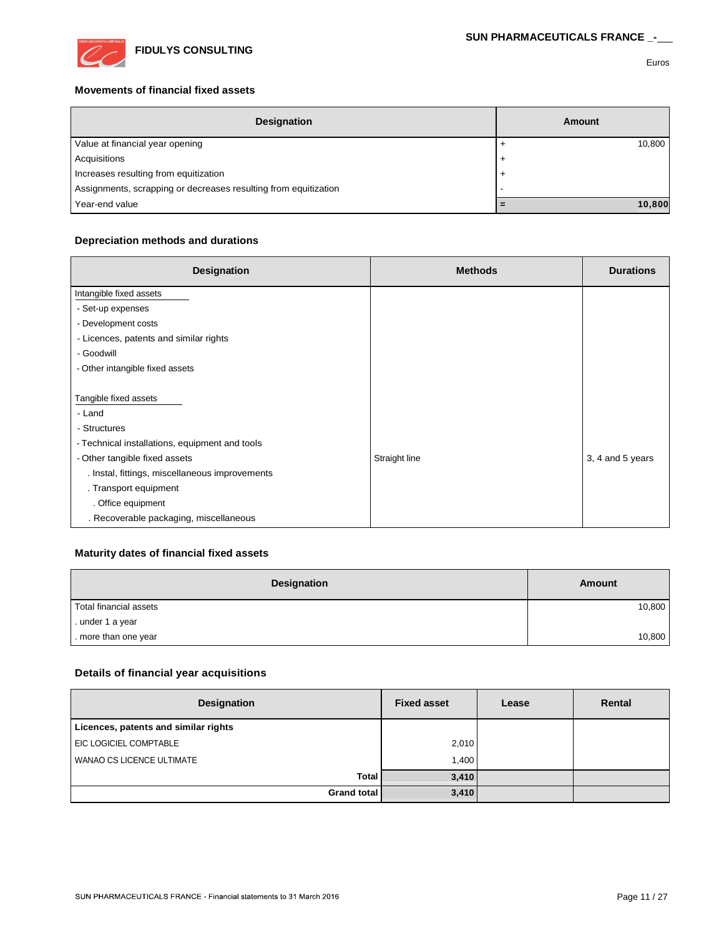

### **Movements of financial fixed assets**

| <b>Designation</b>                                              | Amount         |
|-----------------------------------------------------------------|----------------|
| Value at financial year opening                                 | 10,800         |
| Acquisitions                                                    | $\overline{1}$ |
| Increases resulting from equitization                           | $\ddot{}$      |
| Assignments, scrapping or decreases resulting from equitization |                |
| Year-end value                                                  | 10,800         |

### **Depreciation methods and durations**

| Designation                                    | <b>Methods</b> | <b>Durations</b> |
|------------------------------------------------|----------------|------------------|
| Intangible fixed assets                        |                |                  |
| - Set-up expenses                              |                |                  |
| - Development costs                            |                |                  |
| - Licences, patents and similar rights         |                |                  |
| - Goodwill                                     |                |                  |
| - Other intangible fixed assets                |                |                  |
|                                                |                |                  |
| Tangible fixed assets                          |                |                  |
| - Land                                         |                |                  |
| - Structures                                   |                |                  |
| - Technical installations, equipment and tools |                |                  |
| - Other tangible fixed assets                  | Straight line  | 3, 4 and 5 years |
| . Instal, fittings, miscellaneous improvements |                |                  |
| . Transport equipment                          |                |                  |
| . Office equipment                             |                |                  |
| . Recoverable packaging, miscellaneous         |                |                  |

### **Maturity dates of financial fixed assets**

| <b>Designation</b>     | <b>Amount</b> |
|------------------------|---------------|
| Total financial assets | 10,800        |
| . under 1 a year       |               |
| . more than one year   | 10,800        |

### **Details of financial year acquisitions**

| Designation                          | <b>Fixed asset</b> | Lease | Rental |
|--------------------------------------|--------------------|-------|--------|
| Licences, patents and similar rights |                    |       |        |
| EIC LOGICIEL COMPTABLE               | 2,010              |       |        |
| WANAO CS LICENCE ULTIMATE            | 1,400              |       |        |
| Total                                | 3,410              |       |        |
| <b>Grand total</b>                   | 3,410              |       |        |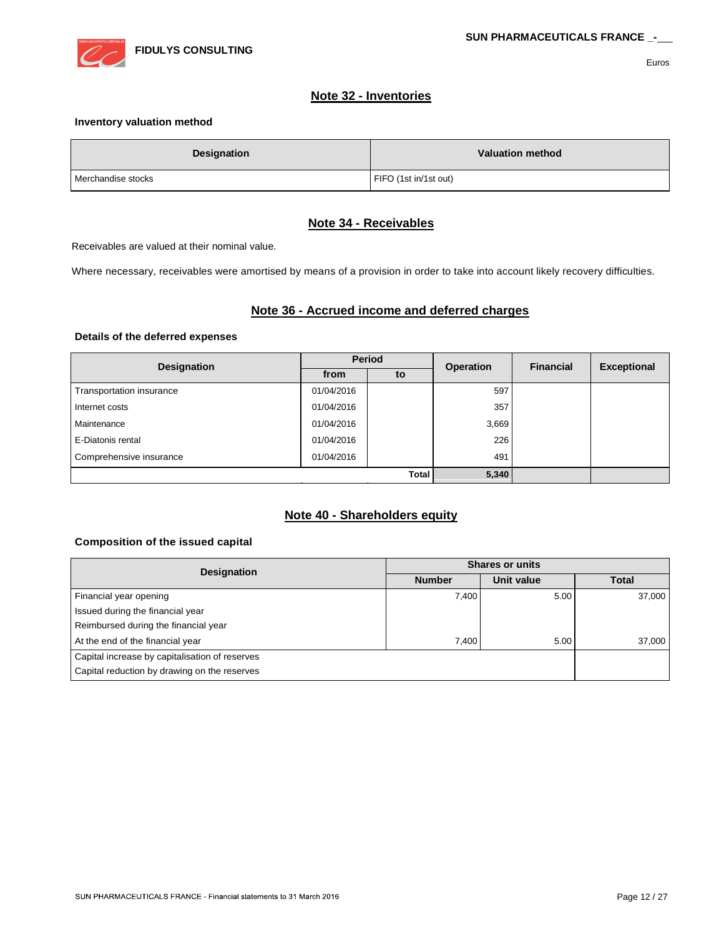

### **Note 32 - Inventories**

### **Inventory valuation method**

| <b>Designation</b> | <b>Valuation method</b> |
|--------------------|-------------------------|
| Merchandise stocks | FIFO (1st in/1st out)   |

### **Note 34 - Receivables**

Receivables are valued at their nominal value.

Where necessary, receivables were amortised by means of a provision in order to take into account likely recovery difficulties.

### **Note 36 - Accrued income and deferred charges**

#### **Details of the deferred expenses**

| <b>Designation</b>       | <b>Period</b> |       | <b>Operation</b> | <b>Financial</b> | <b>Exceptional</b> |
|--------------------------|---------------|-------|------------------|------------------|--------------------|
|                          | from          | to    |                  |                  |                    |
| Transportation insurance | 01/04/2016    |       | 597              |                  |                    |
| Internet costs           | 01/04/2016    |       | 357              |                  |                    |
| Maintenance              | 01/04/2016    |       | 3,669            |                  |                    |
| E-Diatonis rental        | 01/04/2016    |       | 226              |                  |                    |
| Comprehensive insurance  | 01/04/2016    |       | 491              |                  |                    |
| Total                    |               | 5,340 |                  |                  |                    |

### **Note 40 - Shareholders equity**

#### **Composition of the issued capital**

| <b>Designation</b>                             | <b>Shares or units</b> |            |              |  |
|------------------------------------------------|------------------------|------------|--------------|--|
|                                                | <b>Number</b>          | Unit value | <b>Total</b> |  |
| Financial year opening                         | 7,400                  | 5.00       | 37,000       |  |
| Issued during the financial year               |                        |            |              |  |
| Reimbursed during the financial year           |                        |            |              |  |
| At the end of the financial year               | 7.400                  | 5.00       | 37,000       |  |
| Capital increase by capitalisation of reserves |                        |            |              |  |
| Capital reduction by drawing on the reserves   |                        |            |              |  |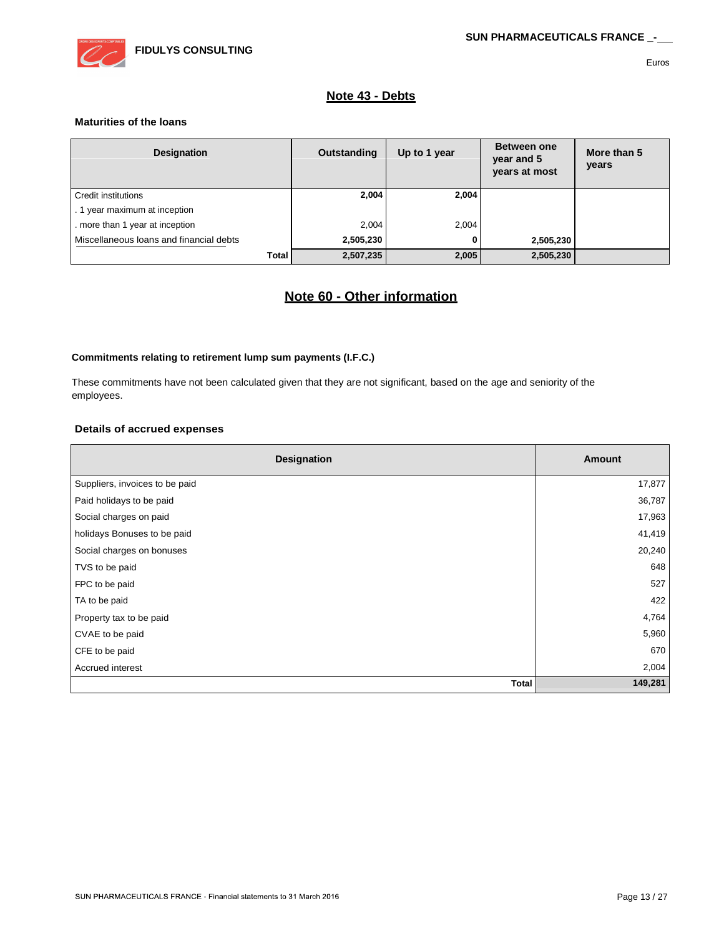

### **Note 43 - Debts**

#### **Maturities of the loans**

| <b>Designation</b>                      | Outstanding | Up to 1 year | Between one<br>year and 5<br>years at most | More than 5<br>years |
|-----------------------------------------|-------------|--------------|--------------------------------------------|----------------------|
| Credit institutions                     | 2,004       | 2,004        |                                            |                      |
| . 1 year maximum at inception           |             |              |                                            |                      |
| . more than 1 year at inception         | 2.004       | 2,004        |                                            |                      |
| Miscellaneous loans and financial debts | 2,505,230   | 0            | 2,505,230                                  |                      |
| <b>Total</b>                            | 2,507,235   | 2,005        | 2,505,230                                  |                      |

# **Note 60 - Other information**

#### **Commitments relating to retirement lump sum payments (I.F.C.)**

These commitments have not been calculated given that they are not significant, based on the age and seniority of the employees.

### **Details of accrued expenses**

| Designation                    | Amount  |
|--------------------------------|---------|
| Suppliers, invoices to be paid | 17,877  |
| Paid holidays to be paid       | 36,787  |
| Social charges on paid         | 17,963  |
| holidays Bonuses to be paid    | 41,419  |
| Social charges on bonuses      | 20,240  |
| TVS to be paid                 | 648     |
| FPC to be paid                 | 527     |
| TA to be paid                  | 422     |
| Property tax to be paid        | 4,764   |
| CVAE to be paid                | 5,960   |
| CFE to be paid                 | 670     |
| Accrued interest               | 2,004   |
| <b>Total</b>                   | 149,281 |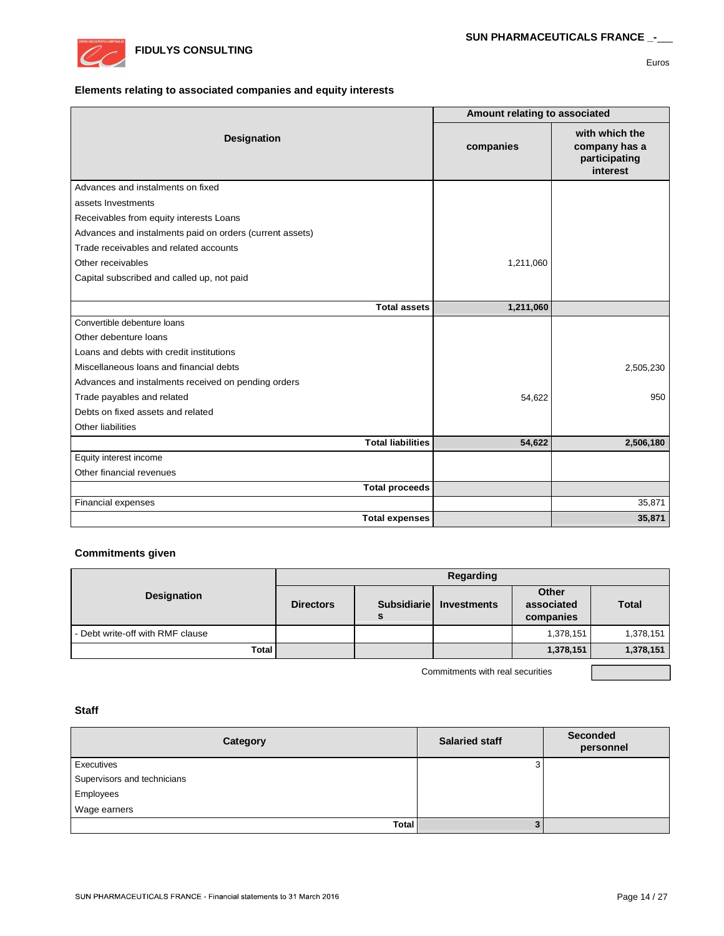

#### **Elements relating to associated companies and equity interests**

|                                                          | Amount relating to associated |                                                              |
|----------------------------------------------------------|-------------------------------|--------------------------------------------------------------|
| Designation                                              | companies                     | with which the<br>company has a<br>participating<br>interest |
| Advances and instalments on fixed                        |                               |                                                              |
| assets Investments                                       |                               |                                                              |
| Receivables from equity interests Loans                  |                               |                                                              |
| Advances and instalments paid on orders (current assets) |                               |                                                              |
| Trade receivables and related accounts                   |                               |                                                              |
| Other receivables                                        | 1,211,060                     |                                                              |
| Capital subscribed and called up, not paid               |                               |                                                              |
|                                                          |                               |                                                              |
| <b>Total assets</b>                                      | 1,211,060                     |                                                              |
| Convertible debenture loans                              |                               |                                                              |
| Other debenture loans                                    |                               |                                                              |
| Loans and debts with credit institutions                 |                               |                                                              |
| Miscellaneous loans and financial debts                  |                               | 2,505,230                                                    |
| Advances and instalments received on pending orders      |                               |                                                              |
| Trade payables and related                               | 54,622                        | 950                                                          |
| Debts on fixed assets and related                        |                               |                                                              |
| Other liabilities                                        |                               |                                                              |
| <b>Total liabilities</b>                                 | 54,622                        | 2,506,180                                                    |
| Equity interest income                                   |                               |                                                              |
| Other financial revenues                                 |                               |                                                              |
| <b>Total proceeds</b>                                    |                               |                                                              |
| Financial expenses                                       |                               | 35,871                                                       |
| <b>Total expenses</b>                                    |                               | 35,871                                                       |

### **Commitments given**

|                                  | Regarding                                    |  |             |                                  |              |
|----------------------------------|----------------------------------------------|--|-------------|----------------------------------|--------------|
| <b>Designation</b>               | <b>Subsidiariel</b><br><b>Directors</b><br>s |  | Investments | Other<br>associated<br>companies | <b>Total</b> |
| - Debt write-off with RMF clause |                                              |  |             | 1,378,151                        | 1,378,151    |
| <b>Total</b>                     |                                              |  |             | 1,378,151                        | 1,378,151    |

Commitments with real securities

#### **Staff**

| Category                    | <b>Salaried staff</b> | <b>Seconded</b><br>personnel |
|-----------------------------|-----------------------|------------------------------|
| Executives                  | c<br>ت                |                              |
| Supervisors and technicians |                       |                              |
| Employees                   |                       |                              |
| Wage earners                |                       |                              |
| <b>Total</b>                |                       |                              |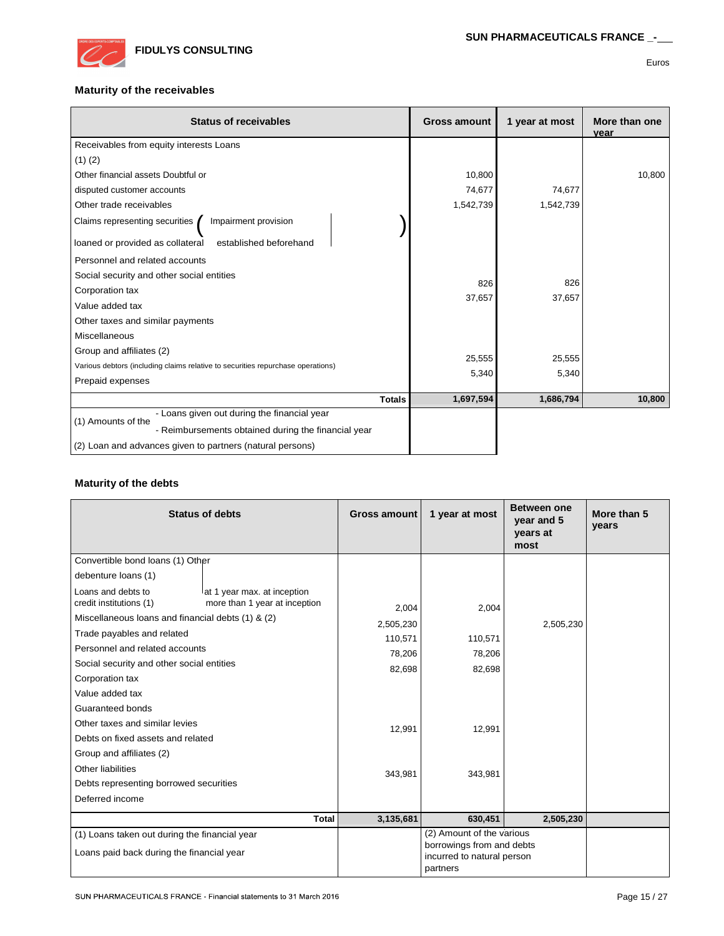

### **Maturity of the receivables**

| <b>Status of receivables</b>                                                    | <b>Gross amount</b> | 1 year at most | More than one<br>year |
|---------------------------------------------------------------------------------|---------------------|----------------|-----------------------|
| Receivables from equity interests Loans                                         |                     |                |                       |
| $(1)$ $(2)$                                                                     |                     |                |                       |
| Other financial assets Doubtful or                                              | 10,800              |                | 10,800                |
| disputed customer accounts                                                      | 74,677              | 74,677         |                       |
| Other trade receivables                                                         | 1,542,739           | 1,542,739      |                       |
| Impairment provision<br>Claims representing securities                          |                     |                |                       |
| established beforehand<br>loaned or provided as collateral                      |                     |                |                       |
| Personnel and related accounts                                                  |                     |                |                       |
| Social security and other social entities                                       | 826                 | 826            |                       |
| Corporation tax                                                                 | 37,657              | 37,657         |                       |
| Value added tax                                                                 |                     |                |                       |
| Other taxes and similar payments                                                |                     |                |                       |
| <b>Miscellaneous</b>                                                            |                     |                |                       |
| Group and affiliates (2)                                                        | 25,555              | 25,555         |                       |
| Various debtors (including claims relative to securities repurchase operations) | 5,340               | 5,340          |                       |
| Prepaid expenses                                                                |                     |                |                       |
| <b>Totals</b>                                                                   | 1,697,594           | 1,686,794      | 10,800                |
| - Loans given out during the financial year<br>(1) Amounts of the               |                     |                |                       |
| - Reimbursements obtained during the financial year                             |                     |                |                       |
| (2) Loan and advances given to partners (natural persons)                       |                     |                |                       |

### **Maturity of the debts**

|                                                   | <b>Status of debts</b>        | Gross amount | 1 year at most                                                      | <b>Between one</b><br>year and 5<br>years at<br>most | More than 5<br>years |
|---------------------------------------------------|-------------------------------|--------------|---------------------------------------------------------------------|------------------------------------------------------|----------------------|
| Convertible bond loans (1) Other                  |                               |              |                                                                     |                                                      |                      |
| debenture loans (1)                               |                               |              |                                                                     |                                                      |                      |
| Loans and debts to                                | lat 1 year max. at inception  |              |                                                                     |                                                      |                      |
| credit institutions (1)                           | more than 1 year at inception | 2,004        | 2,004                                                               |                                                      |                      |
| Miscellaneous loans and financial debts (1) & (2) |                               | 2,505,230    |                                                                     | 2,505,230                                            |                      |
| Trade payables and related                        |                               | 110,571      | 110,571                                                             |                                                      |                      |
| Personnel and related accounts                    |                               | 78,206       | 78,206                                                              |                                                      |                      |
| Social security and other social entities         |                               | 82,698       | 82,698                                                              |                                                      |                      |
| Corporation tax                                   |                               |              |                                                                     |                                                      |                      |
| Value added tax                                   |                               |              |                                                                     |                                                      |                      |
| Guaranteed bonds                                  |                               |              |                                                                     |                                                      |                      |
| Other taxes and similar levies                    |                               | 12,991       | 12,991                                                              |                                                      |                      |
| Debts on fixed assets and related                 |                               |              |                                                                     |                                                      |                      |
| Group and affiliates (2)                          |                               |              |                                                                     |                                                      |                      |
| Other liabilities                                 |                               | 343,981      | 343,981                                                             |                                                      |                      |
| Debts representing borrowed securities            |                               |              |                                                                     |                                                      |                      |
| Deferred income                                   |                               |              |                                                                     |                                                      |                      |
|                                                   | <b>Total</b>                  | 3,135,681    | 630,451                                                             | 2,505,230                                            |                      |
| (1) Loans taken out during the financial year     |                               |              | (2) Amount of the various                                           |                                                      |                      |
| Loans paid back during the financial year         |                               |              | borrowings from and debts<br>incurred to natural person<br>partners |                                                      |                      |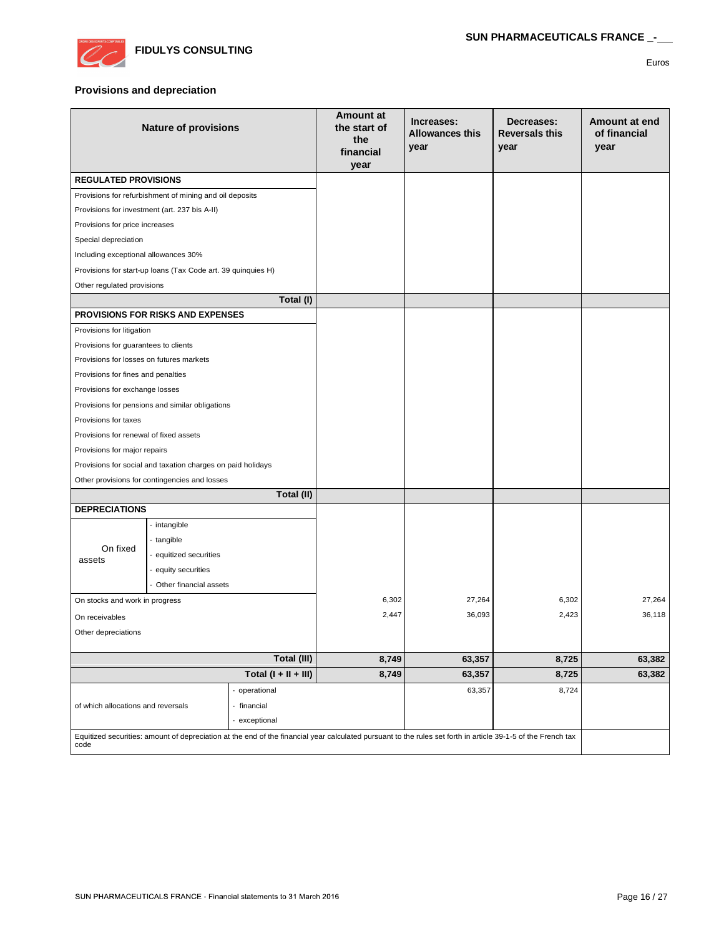

#### **Provisions and depreciation**

| <b>Nature of provisions</b>                                                                                                                                          |                                                              | <b>Amount at</b><br>the start of<br>the<br>financial<br>year | Increases:<br>Allowances this<br>year | Decreases:<br><b>Reversals this</b><br>year | Amount at end<br>of financial<br>year |        |
|----------------------------------------------------------------------------------------------------------------------------------------------------------------------|--------------------------------------------------------------|--------------------------------------------------------------|---------------------------------------|---------------------------------------------|---------------------------------------|--------|
| <b>REGULATED PROVISIONS</b>                                                                                                                                          |                                                              |                                                              |                                       |                                             |                                       |        |
|                                                                                                                                                                      | Provisions for refurbishment of mining and oil deposits      |                                                              |                                       |                                             |                                       |        |
|                                                                                                                                                                      | Provisions for investment (art. 237 bis A-II)                |                                                              |                                       |                                             |                                       |        |
| Provisions for price increases                                                                                                                                       |                                                              |                                                              |                                       |                                             |                                       |        |
| Special depreciation                                                                                                                                                 |                                                              |                                                              |                                       |                                             |                                       |        |
| Including exceptional allowances 30%                                                                                                                                 |                                                              |                                                              |                                       |                                             |                                       |        |
|                                                                                                                                                                      | Provisions for start-up loans (Tax Code art. 39 quinquies H) |                                                              |                                       |                                             |                                       |        |
| Other regulated provisions                                                                                                                                           |                                                              |                                                              |                                       |                                             |                                       |        |
|                                                                                                                                                                      |                                                              | Total (I)                                                    |                                       |                                             |                                       |        |
|                                                                                                                                                                      | <b>PROVISIONS FOR RISKS AND EXPENSES</b>                     |                                                              |                                       |                                             |                                       |        |
| Provisions for litigation                                                                                                                                            |                                                              |                                                              |                                       |                                             |                                       |        |
| Provisions for guarantees to clients                                                                                                                                 |                                                              |                                                              |                                       |                                             |                                       |        |
| Provisions for losses on futures markets                                                                                                                             |                                                              |                                                              |                                       |                                             |                                       |        |
| Provisions for fines and penalties                                                                                                                                   |                                                              |                                                              |                                       |                                             |                                       |        |
| Provisions for exchange losses                                                                                                                                       |                                                              |                                                              |                                       |                                             |                                       |        |
|                                                                                                                                                                      | Provisions for pensions and similar obligations              |                                                              |                                       |                                             |                                       |        |
| Provisions for taxes                                                                                                                                                 |                                                              |                                                              |                                       |                                             |                                       |        |
| Provisions for renewal of fixed assets                                                                                                                               |                                                              |                                                              |                                       |                                             |                                       |        |
| Provisions for major repairs                                                                                                                                         |                                                              |                                                              |                                       |                                             |                                       |        |
|                                                                                                                                                                      | Provisions for social and taxation charges on paid holidays  |                                                              |                                       |                                             |                                       |        |
|                                                                                                                                                                      | Other provisions for contingencies and losses                |                                                              |                                       |                                             |                                       |        |
|                                                                                                                                                                      |                                                              | Total (II)                                                   |                                       |                                             |                                       |        |
| <b>DEPRECIATIONS</b>                                                                                                                                                 |                                                              |                                                              |                                       |                                             |                                       |        |
|                                                                                                                                                                      | - intangible                                                 |                                                              |                                       |                                             |                                       |        |
| On fixed                                                                                                                                                             | - tangible                                                   |                                                              |                                       |                                             |                                       |        |
| assets                                                                                                                                                               | - equitized securities<br>- equity securities                |                                                              |                                       |                                             |                                       |        |
|                                                                                                                                                                      |                                                              |                                                              |                                       |                                             |                                       |        |
|                                                                                                                                                                      | - Other financial assets                                     |                                                              |                                       |                                             |                                       |        |
| On stocks and work in progress                                                                                                                                       |                                                              |                                                              | 6,302                                 | 27,264                                      | 6,302                                 | 27,264 |
| On receivables                                                                                                                                                       |                                                              |                                                              | 2,447                                 | 36,093                                      | 2,423                                 | 36,118 |
| Other depreciations                                                                                                                                                  |                                                              |                                                              |                                       |                                             |                                       |        |
|                                                                                                                                                                      |                                                              | Total (III)                                                  | 8,749                                 | 63,357                                      | 8,725                                 | 63,382 |
| Total $(I + II + III)$                                                                                                                                               |                                                              | 8,749                                                        | 63,357                                | 8,725                                       | 63,382                                |        |
| - operational<br>of which allocations and reversals<br>- financial<br>- exceptional                                                                                  |                                                              |                                                              | 63,357                                | 8,724                                       |                                       |        |
|                                                                                                                                                                      |                                                              |                                                              |                                       |                                             |                                       |        |
|                                                                                                                                                                      |                                                              |                                                              |                                       |                                             |                                       |        |
| Equitized securities: amount of depreciation at the end of the financial year calculated pursuant to the rules set forth in article 39-1-5 of the French tax<br>code |                                                              |                                                              |                                       |                                             |                                       |        |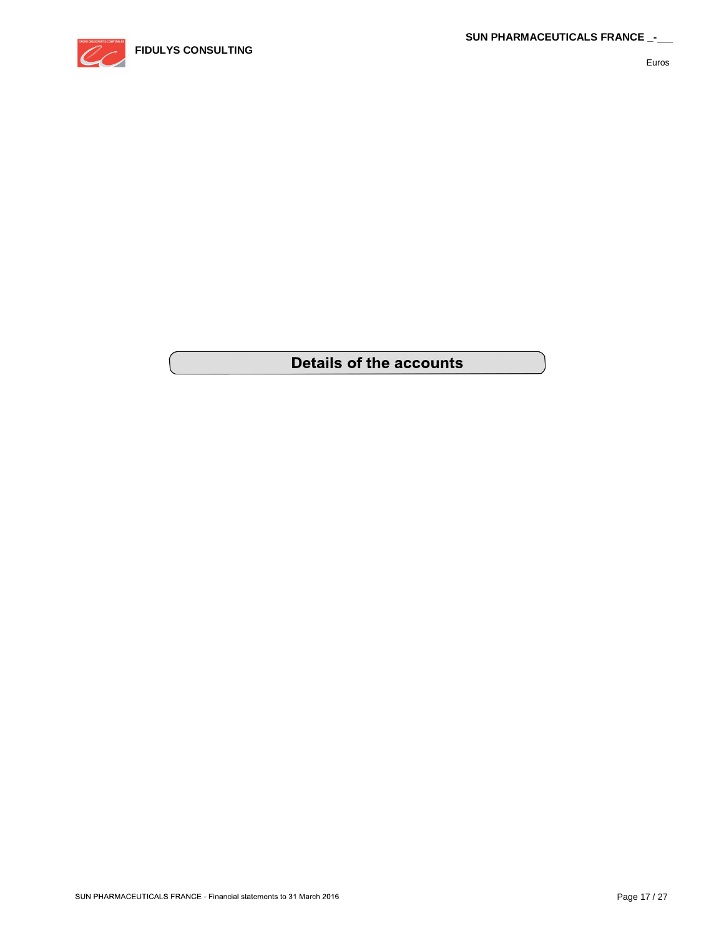

# **Details of the accounts**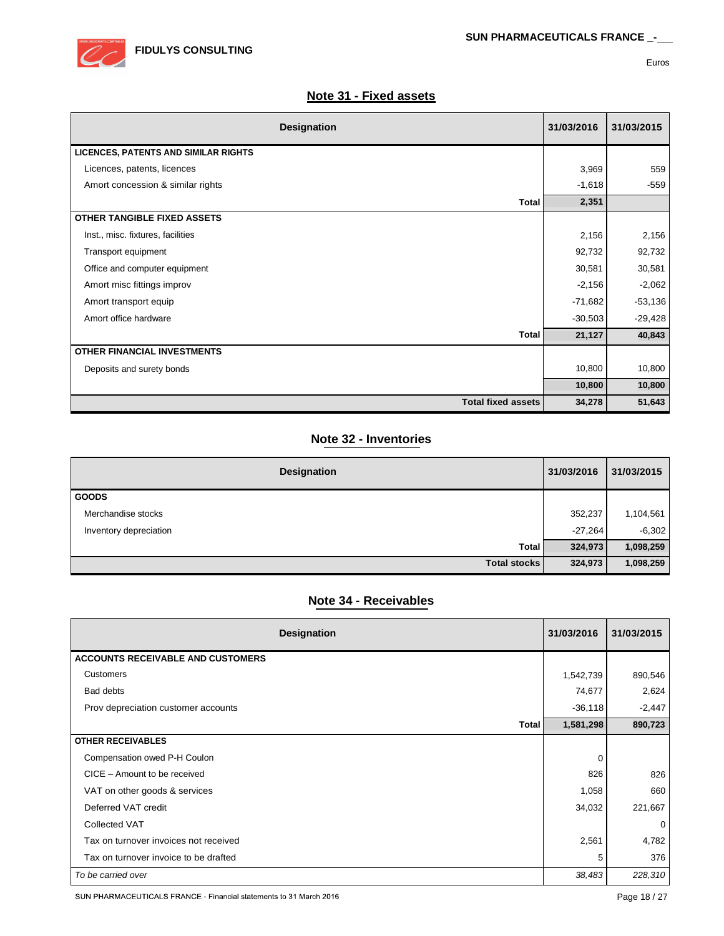

## **Note 31 - Fixed assets**

| Designation                                 | 31/03/2016 | 31/03/2015 |
|---------------------------------------------|------------|------------|
| <b>LICENCES, PATENTS AND SIMILAR RIGHTS</b> |            |            |
| Licences, patents, licences                 | 3,969      | 559        |
| Amort concession & similar rights           | $-1,618$   | $-559$     |
| Total                                       | 2,351      |            |
| <b>OTHER TANGIBLE FIXED ASSETS</b>          |            |            |
| Inst., misc. fixtures, facilities           | 2,156      | 2,156      |
| Transport equipment                         | 92,732     | 92,732     |
| Office and computer equipment               | 30,581     | 30,581     |
| Amort misc fittings improv                  | $-2,156$   | $-2,062$   |
| Amort transport equip                       | $-71,682$  | $-53,136$  |
| Amort office hardware                       | $-30,503$  | $-29,428$  |
| <b>Total</b>                                | 21,127     | 40,843     |
| <b>OTHER FINANCIAL INVESTMENTS</b>          |            |            |
| Deposits and surety bonds                   | 10,800     | 10,800     |
|                                             | 10,800     | 10,800     |
| <b>Total fixed assets</b>                   | 34,278     | 51,643     |

# **Note 32 - Inventories**

| Designation            | 31/03/2016 | 31/03/2015 |
|------------------------|------------|------------|
| <b>GOODS</b>           |            |            |
| Merchandise stocks     | 352,237    | 1,104,561  |
| Inventory depreciation | $-27,264$  | $-6,302$   |
| Total                  | 324,973    | 1,098,259  |
| <b>Total stocks</b>    | 324,973    | 1,098,259  |

# **Note 34 - Receivables**

| <b>Designation</b>                       | 31/03/2016 | 31/03/2015 |
|------------------------------------------|------------|------------|
| <b>ACCOUNTS RECEIVABLE AND CUSTOMERS</b> |            |            |
| <b>Customers</b>                         | 1,542,739  | 890,546    |
| Bad debts                                | 74,677     | 2,624      |
| Prov depreciation customer accounts      | $-36,118$  | $-2,447$   |
| <b>Total</b>                             | 1,581,298  | 890,723    |
| <b>OTHER RECEIVABLES</b>                 |            |            |
| Compensation owed P-H Coulon             | 0          |            |
| CICE - Amount to be received             | 826        | 826        |
| VAT on other goods & services            | 1,058      | 660        |
| Deferred VAT credit                      | 34,032     | 221,667    |
| <b>Collected VAT</b>                     |            | 0          |
| Tax on turnover invoices not received    | 2,561      | 4,782      |
| Tax on turnover invoice to be drafted    | 5          | 376        |
| To be carried over                       | 38,483     | 228,310    |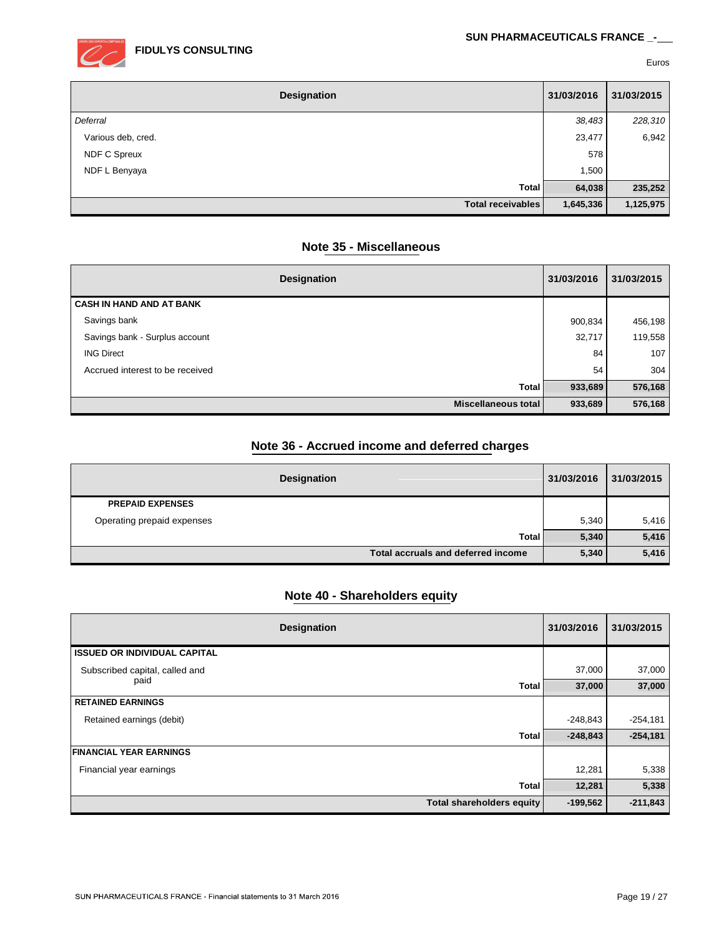

| Designation         | 31/03/2016 | 31/03/2015 |
|---------------------|------------|------------|
| Deferral            | 38,483     | 228,310    |
| Various deb, cred.  | 23,477     | 6,942      |
| <b>NDF C Spreux</b> | 578        |            |
| NDF L Benyaya       | 1,500      |            |
| <b>Total</b>        | 64,038     | 235,252    |
| Total receivables   | 1,645,336  | 1,125,975  |

## **Note 35 - Miscellaneous**

| Designation                     | 31/03/2016 | 31/03/2015 |
|---------------------------------|------------|------------|
| <b>CASH IN HAND AND AT BANK</b> |            |            |
| Savings bank                    | 900,834    | 456,198    |
| Savings bank - Surplus account  | 32,717     | 119,558    |
| <b>ING Direct</b>               | 84         | 107        |
| Accrued interest to be received | 54         | 304        |
| <b>Total</b>                    | 933,689    | 576,168    |
| Miscellaneous total             | 933,689    | 576,168    |

# **Note 36 - Accrued income and deferred charges**

| Designation                        | 31/03/2016 | 31/03/2015 |
|------------------------------------|------------|------------|
| <b>PREPAID EXPENSES</b>            |            |            |
| Operating prepaid expenses         | 5,340      | 5,416      |
| Total                              | 5,340      | 5,416      |
| Total accruals and deferred income | 5,340      | 5,416      |

# **Note 40 - Shareholders equity**

| Designation                         | 31/03/2016 | 31/03/2015 |
|-------------------------------------|------------|------------|
| <b>ISSUED OR INDIVIDUAL CAPITAL</b> |            |            |
| Subscribed capital, called and      | 37,000     | 37,000     |
| paid<br><b>Total</b>                | 37,000     | 37,000     |
| <b>RETAINED EARNINGS</b>            |            |            |
| Retained earnings (debit)           | -248,843   | $-254,181$ |
| Total                               | $-248,843$ | $-254,181$ |
| <b>FINANCIAL YEAR EARNINGS</b>      |            |            |
| Financial year earnings             | 12,281     | 5,338      |
| <b>Total</b>                        | 12,281     | 5,338      |
| <b>Total shareholders equity</b>    | $-199,562$ | $-211,843$ |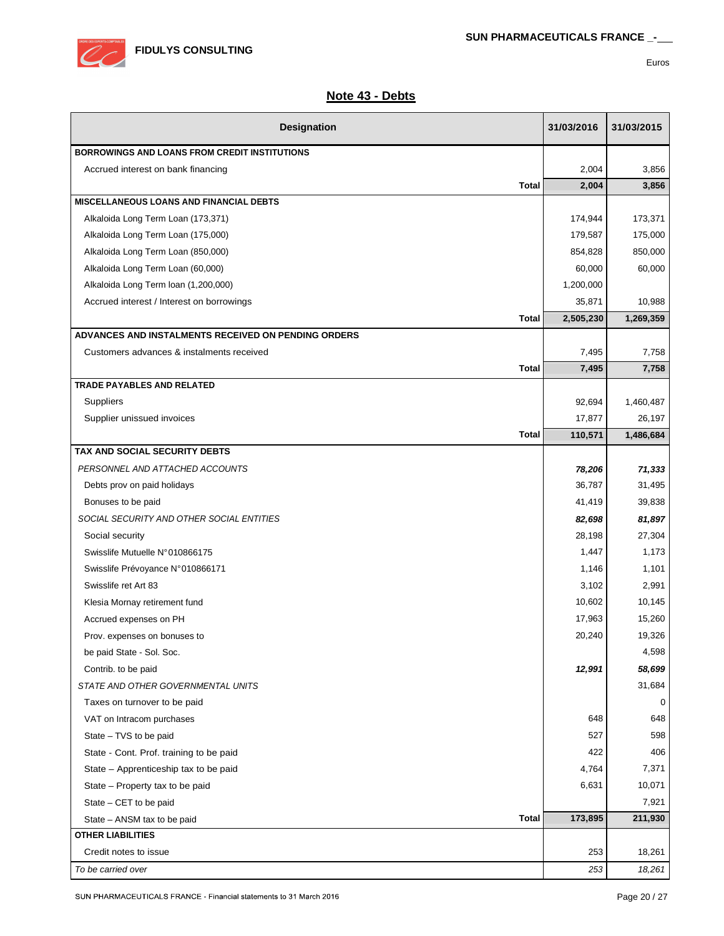

| Designation                                          |              | 31/03/2016 | 31/03/2015 |
|------------------------------------------------------|--------------|------------|------------|
| <b>BORROWINGS AND LOANS FROM CREDIT INSTITUTIONS</b> |              |            |            |
| Accrued interest on bank financing                   |              | 2,004      | 3,856      |
|                                                      | <b>Total</b> | 2,004      | 3,856      |
| <b>MISCELLANEOUS LOANS AND FINANCIAL DEBTS</b>       |              |            |            |
| Alkaloida Long Term Loan (173,371)                   |              | 174,944    | 173,371    |
| Alkaloida Long Term Loan (175,000)                   |              | 179,587    | 175,000    |
| Alkaloida Long Term Loan (850,000)                   |              | 854,828    | 850,000    |
| Alkaloida Long Term Loan (60,000)                    |              | 60,000     | 60,000     |
| Alkaloida Long Term loan (1,200,000)                 |              | 1,200,000  |            |
| Accrued interest / Interest on borrowings            |              | 35,871     | 10,988     |
|                                                      | <b>Total</b> | 2,505,230  | 1,269,359  |
| ADVANCES AND INSTALMENTS RECEIVED ON PENDING ORDERS  |              |            |            |
| Customers advances & instalments received            |              | 7,495      | 7,758      |
|                                                      | <b>Total</b> | 7,495      | 7,758      |
| <b>TRADE PAYABLES AND RELATED</b>                    |              |            |            |
| Suppliers                                            |              | 92,694     | 1,460,487  |
| Supplier unissued invoices                           |              | 17,877     | 26,197     |
|                                                      | <b>Total</b> | 110,571    | 1,486,684  |
| TAX AND SOCIAL SECURITY DEBTS                        |              |            |            |
| PERSONNEL AND ATTACHED ACCOUNTS                      |              | 78,206     | 71,333     |
| Debts prov on paid holidays                          |              | 36,787     | 31,495     |
| Bonuses to be paid                                   |              | 41,419     | 39,838     |
| SOCIAL SECURITY AND OTHER SOCIAL ENTITIES            |              | 82,698     | 81,897     |
| Social security                                      |              | 28,198     | 27,304     |
| Swisslife Mutuelle N°010866175                       |              | 1,447      | 1,173      |
| Swisslife Prévoyance N°010866171                     |              | 1,146      | 1,101      |
| Swisslife ret Art 83                                 |              | 3,102      | 2,991      |
| Klesia Mornay retirement fund                        |              | 10,602     | 10,145     |
| Accrued expenses on PH                               |              | 17,963     | 15,260     |
| Prov. expenses on bonuses to                         |              | 20,240     | 19,326     |
| be paid State - Sol. Soc.                            |              |            | 4,598      |
| Contrib. to be paid                                  |              | 12,991     | 58,699     |
| STATE AND OTHER GOVERNMENTAL UNITS                   |              |            | 31,684     |
| Taxes on turnover to be paid                         |              |            | $\Omega$   |
| VAT on Intracom purchases                            |              | 648        | 648        |
| State – TVS to be paid                               |              | 527        | 598        |
| State - Cont. Prof. training to be paid              |              | 422        | 406        |
| State - Apprenticeship tax to be paid                |              | 4,764      | 7,371      |
| State – Property tax to be paid                      |              | 6,631      | 10,071     |
| State - CET to be paid                               |              |            | 7,921      |
| State - ANSM tax to be paid                          | <b>Total</b> | 173,895    | 211,930    |
| <b>OTHER LIABILITIES</b>                             |              |            |            |
| Credit notes to issue                                |              | 253        | 18,261     |
| To be carried over                                   |              | 253        | 18,261     |
|                                                      |              |            |            |

# **Note 43 - Debts**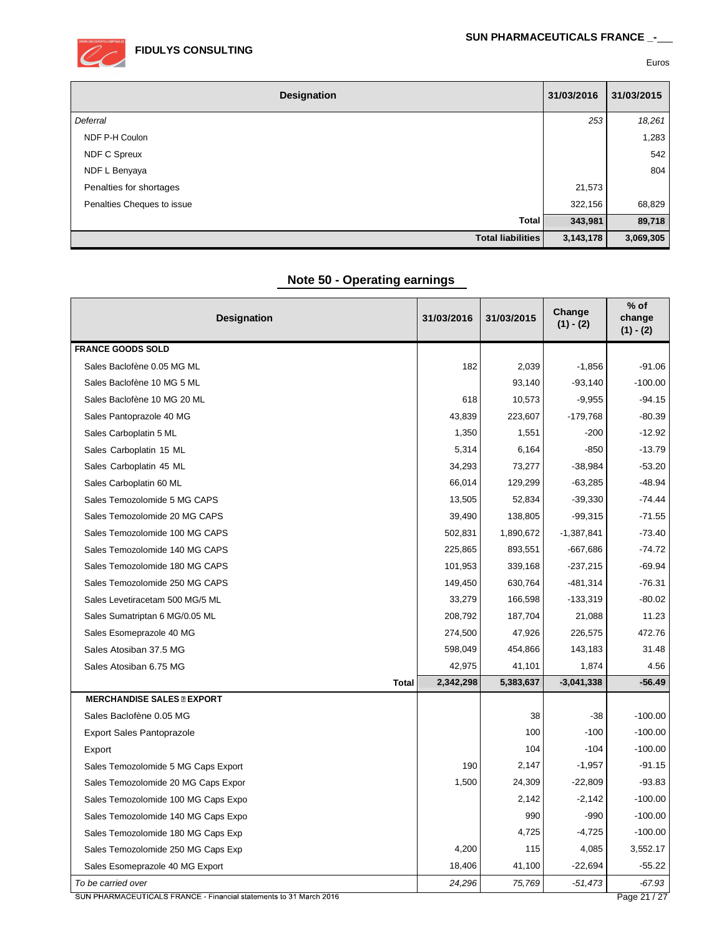

| Designation                | 31/03/2016 | 31/03/2015 |
|----------------------------|------------|------------|
| Deferral                   | 253        | 18,261     |
| NDF P-H Coulon             |            | 1,283      |
| <b>NDF C Spreux</b>        |            | 542        |
| NDF L Benyaya              |            | 804        |
| Penalties for shortages    | 21,573     |            |
| Penalties Cheques to issue | 322,156    | 68,829     |
| Total                      | 343,981    | 89,718     |
| <b>Total liabilities</b>   | 3,143,178  | 3,069,305  |

# **Note 50 - Operating earnings**

| <b>Designation</b>                  | 31/03/2016 | 31/03/2015 | Change<br>$(1) - (2)$ | $%$ of<br>change<br>$(1) - (2)$ |
|-------------------------------------|------------|------------|-----------------------|---------------------------------|
| <b>FRANCE GOODS SOLD</b>            |            |            |                       |                                 |
| Sales Baclofène 0.05 MG ML          | 182        | 2,039      | $-1,856$              | $-91.06$                        |
| Sales Baclofène 10 MG 5 ML          |            | 93,140     | $-93,140$             | $-100.00$                       |
| Sales Baclofène 10 MG 20 ML         | 618        | 10,573     | $-9,955$              | $-94.15$                        |
| Sales Pantoprazole 40 MG            | 43,839     | 223,607    | $-179,768$            | $-80.39$                        |
| Sales Carboplatin 5 ML              | 1,350      | 1,551      | $-200$                | $-12.92$                        |
| Sales Carboplatin 15 ML             | 5,314      | 6,164      | $-850$                | $-13.79$                        |
| Sales Carboplatin 45 ML             | 34,293     | 73,277     | $-38,984$             | $-53.20$                        |
| Sales Carboplatin 60 ML             | 66,014     | 129,299    | $-63,285$             | $-48.94$                        |
| Sales Temozolomide 5 MG CAPS        | 13,505     | 52,834     | $-39,330$             | $-74.44$                        |
| Sales Temozolomide 20 MG CAPS       | 39,490     | 138,805    | $-99,315$             | $-71.55$                        |
| Sales Temozolomide 100 MG CAPS      | 502,831    | 1,890,672  | $-1,387,841$          | $-73.40$                        |
| Sales Temozolomide 140 MG CAPS      | 225,865    | 893,551    | $-667,686$            | $-74.72$                        |
| Sales Temozolomide 180 MG CAPS      | 101,953    | 339,168    | $-237,215$            | $-69.94$                        |
| Sales Temozolomide 250 MG CAPS      | 149,450    | 630,764    | $-481,314$            | $-76.31$                        |
| Sales Levetiracetam 500 MG/5 ML     | 33,279     | 166,598    | $-133,319$            | $-80.02$                        |
| Sales Sumatriptan 6 MG/0.05 ML      | 208,792    | 187,704    | 21,088                | 11.23                           |
| Sales Esomeprazole 40 MG            | 274,500    | 47,926     | 226,575               | 472.76                          |
| Sales Atosiban 37.5 MG              | 598,049    | 454,866    | 143,183               | 31.48                           |
| Sales Atosiban 6.75 MG              | 42,975     | 41,101     | 1,874                 | 4.56                            |
| <b>Total</b>                        | 2,342,298  | 5,383,637  | $-3,041,338$          | $-56.49$                        |
| <b>MERCHANDISE SALES @ EXPORT</b>   |            |            |                       |                                 |
| Sales Baclofène 0.05 MG             |            | 38         | $-38$                 | $-100.00$                       |
| <b>Export Sales Pantoprazole</b>    |            | 100        | $-100$                | $-100.00$                       |
| Export                              |            | 104        | $-104$                | $-100.00$                       |
| Sales Temozolomide 5 MG Caps Export | 190        | 2,147      | $-1,957$              | $-91.15$                        |
| Sales Temozolomide 20 MG Caps Expor | 1,500      | 24,309     | $-22,809$             | $-93.83$                        |
| Sales Temozolomide 100 MG Caps Expo |            | 2,142      | $-2,142$              | $-100.00$                       |
| Sales Temozolomide 140 MG Caps Expo |            | 990        | $-990$                | $-100.00$                       |
| Sales Temozolomide 180 MG Caps Exp  |            | 4,725      | $-4,725$              | $-100.00$                       |
| Sales Temozolomide 250 MG Caps Exp  | 4,200      | 115        | 4,085                 | 3,552.17                        |
| Sales Esomeprazole 40 MG Export     | 18,406     | 41,100     | $-22,694$             | $-55.22$                        |
| To be carried over                  | 24,296     | 75,769     | $-51,473$             | -67.93                          |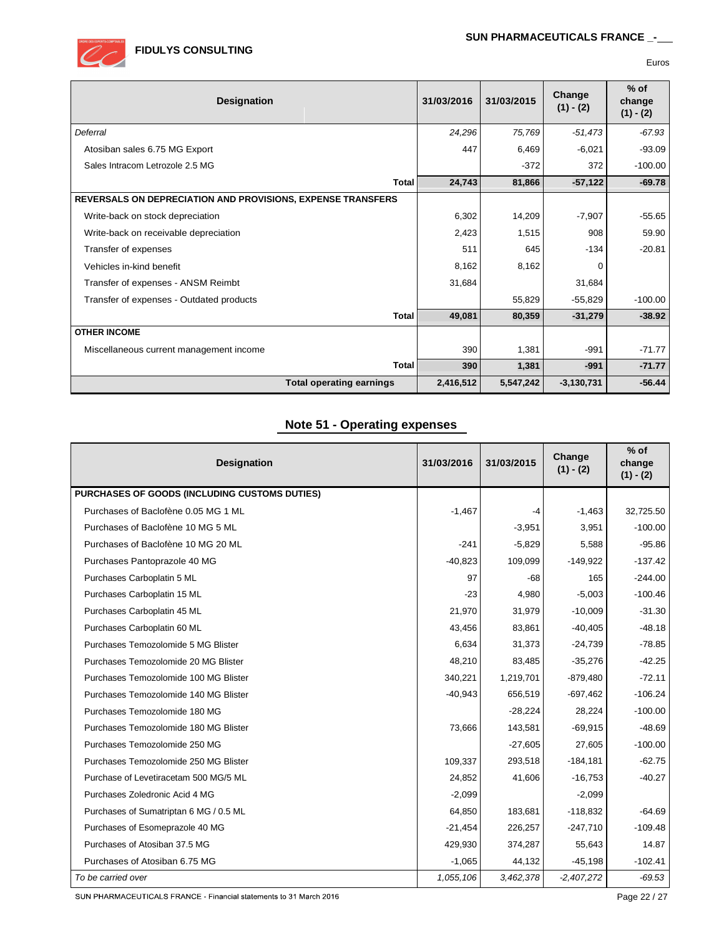| <b>Designation</b>                                                 | 31/03/2016 | 31/03/2015 | Change<br>$(1) - (2)$ | $%$ of<br>change<br>$(1) - (2)$ |
|--------------------------------------------------------------------|------------|------------|-----------------------|---------------------------------|
| Deferral                                                           | 24,296     | 75,769     | $-51,473$             | $-67.93$                        |
| Atosiban sales 6.75 MG Export                                      | 447        | 6,469      | $-6.021$              | $-93.09$                        |
| Sales Intracom Letrozole 2.5 MG                                    |            | $-372$     | 372                   | $-100.00$                       |
| <b>Total</b>                                                       | 24,743     | 81,866     | $-57,122$             | $-69.78$                        |
| <b>REVERSALS ON DEPRECIATION AND PROVISIONS, EXPENSE TRANSFERS</b> |            |            |                       |                                 |
| Write-back on stock depreciation                                   | 6,302      | 14,209     | $-7,907$              | $-55.65$                        |
| Write-back on receivable depreciation                              | 2,423      | 1,515      | 908                   | 59.90                           |
| Transfer of expenses                                               | 511        | 645        | $-134$                | $-20.81$                        |
| Vehicles in-kind benefit                                           | 8,162      | 8,162      | 0                     |                                 |
| Transfer of expenses - ANSM Reimbt                                 | 31,684     |            | 31,684                |                                 |
| Transfer of expenses - Outdated products                           |            | 55,829     | $-55,829$             | $-100.00$                       |
| <b>Total</b>                                                       | 49,081     | 80,359     | $-31,279$             | $-38.92$                        |
| <b>OTHER INCOME</b>                                                |            |            |                       |                                 |
| Miscellaneous current management income                            | 390        | 1,381      | $-991$                | $-71.77$                        |
| Total                                                              | 390        | 1,381      | $-991$                | $-71.77$                        |
| <b>Total operating earnings</b>                                    | 2,416,512  | 5,547,242  | $-3,130,731$          | $-56.44$                        |

# **Note 51 - Operating expenses**

| <b>Designation</b>                            | 31/03/2016 | 31/03/2015 | Change<br>$(1) - (2)$ | $%$ of<br>change<br>$(1) - (2)$ |
|-----------------------------------------------|------------|------------|-----------------------|---------------------------------|
| PURCHASES OF GOODS (INCLUDING CUSTOMS DUTIES) |            |            |                       |                                 |
| Purchases of Baclofène 0.05 MG 1 ML           | $-1,467$   | -4         | $-1,463$              | 32,725.50                       |
| Purchases of Baclofène 10 MG 5 ML             |            | $-3,951$   | 3,951                 | $-100.00$                       |
| Purchases of Baclofène 10 MG 20 ML            | $-241$     | $-5,829$   | 5,588                 | $-95.86$                        |
| Purchases Pantoprazole 40 MG                  | $-40,823$  | 109,099    | $-149,922$            | $-137.42$                       |
| Purchases Carboplatin 5 ML                    | 97         | $-68$      | 165                   | $-244.00$                       |
| Purchases Carboplatin 15 ML                   | $-23$      | 4,980      | $-5,003$              | $-100.46$                       |
| Purchases Carboplatin 45 ML                   | 21,970     | 31,979     | $-10,009$             | $-31.30$                        |
| Purchases Carboplatin 60 ML                   | 43,456     | 83,861     | $-40,405$             | $-48.18$                        |
| Purchases Temozolomide 5 MG Blister           | 6,634      | 31,373     | $-24,739$             | $-78.85$                        |
| Purchases Temozolomide 20 MG Blister          | 48,210     | 83,485     | $-35,276$             | $-42.25$                        |
| Purchases Temozolomide 100 MG Blister         | 340,221    | 1,219,701  | $-879,480$            | $-72.11$                        |
| Purchases Temozolomide 140 MG Blister         | $-40,943$  | 656,519    | $-697,462$            | $-106.24$                       |
| Purchases Temozolomide 180 MG                 |            | $-28,224$  | 28,224                | $-100.00$                       |
| Purchases Temozolomide 180 MG Blister         | 73,666     | 143,581    | $-69,915$             | $-48.69$                        |
| Purchases Temozolomide 250 MG                 |            | $-27,605$  | 27,605                | $-100.00$                       |
| Purchases Temozolomide 250 MG Blister         | 109,337    | 293,518    | $-184,181$            | $-62.75$                        |
| Purchase of Levetiracetam 500 MG/5 ML         | 24,852     | 41,606     | $-16,753$             | $-40.27$                        |
| Purchases Zoledronic Acid 4 MG                | $-2,099$   |            | $-2,099$              |                                 |
| Purchases of Sumatriptan 6 MG / 0.5 ML        | 64,850     | 183,681    | $-118,832$            | $-64.69$                        |
| Purchases of Esomeprazole 40 MG               | $-21,454$  | 226,257    | $-247,710$            | $-109.48$                       |
| Purchases of Atosiban 37.5 MG                 | 429,930    | 374,287    | 55,643                | 14.87                           |
| Purchases of Atosiban 6.75 MG                 | $-1,065$   | 44,132     | $-45,198$             | $-102.41$                       |
| To be carried over                            | 1,055,106  | 3,462,378  | $-2,407,272$          | $-69.53$                        |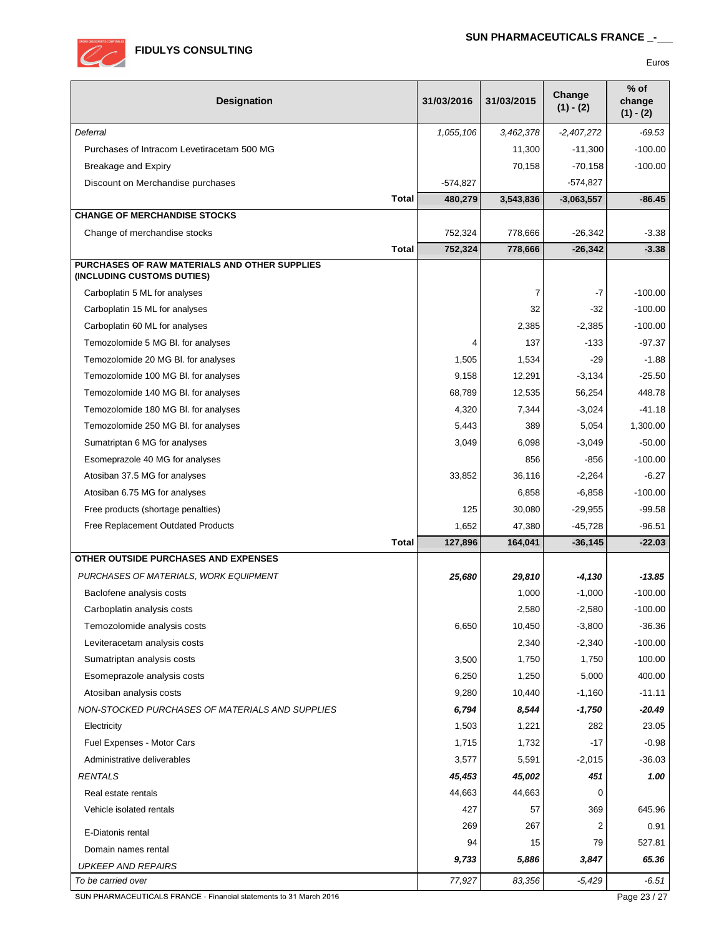

| <b>Designation</b>                                                          | 31/03/2016 | 31/03/2015 | Change<br>$(1) - (2)$ | $%$ of<br>change<br>$(1) - (2)$ |
|-----------------------------------------------------------------------------|------------|------------|-----------------------|---------------------------------|
| Deferral                                                                    | 1,055,106  | 3,462,378  | $-2,407,272$          | -69.53                          |
| Purchases of Intracom Levetiracetam 500 MG                                  |            | 11,300     | $-11,300$             | $-100.00$                       |
| <b>Breakage and Expiry</b>                                                  |            | 70,158     | $-70,158$             | $-100.00$                       |
| Discount on Merchandise purchases                                           | $-574,827$ |            | $-574,827$            |                                 |
| <b>Total</b>                                                                | 480,279    | 3,543,836  | $-3,063,557$          | $-86.45$                        |
| <b>CHANGE OF MERCHANDISE STOCKS</b>                                         |            |            |                       |                                 |
| Change of merchandise stocks                                                | 752,324    | 778,666    | $-26,342$             | $-3.38$                         |
| <b>Total</b>                                                                | 752,324    | 778,666    | $-26,342$             | $-3.38$                         |
| PURCHASES OF RAW MATERIALS AND OTHER SUPPLIES<br>(INCLUDING CUSTOMS DUTIES) |            |            |                       |                                 |
| Carboplatin 5 ML for analyses                                               |            | 7          | -7                    | $-100.00$                       |
| Carboplatin 15 ML for analyses                                              |            | 32         | $-32$                 | $-100.00$                       |
| Carboplatin 60 ML for analyses                                              |            | 2,385      | $-2,385$              | $-100.00$                       |
| Temozolomide 5 MG BI. for analyses                                          | 4          | 137        | $-133$                | $-97.37$                        |
| Temozolomide 20 MG Bl. for analyses                                         | 1,505      | 1,534      | $-29$                 | $-1.88$                         |
| Temozolomide 100 MG BI. for analyses                                        | 9,158      | 12,291     | $-3,134$              | $-25.50$                        |
| Temozolomide 140 MG Bl. for analyses                                        | 68,789     | 12,535     | 56,254                | 448.78                          |
| Temozolomide 180 MG BI. for analyses                                        | 4,320      | 7,344      | $-3,024$              | $-41.18$                        |
| Temozolomide 250 MG BI. for analyses                                        | 5,443      | 389        | 5,054                 | 1,300.00                        |
| Sumatriptan 6 MG for analyses                                               | 3,049      | 6,098      | $-3,049$              | $-50.00$                        |
| Esomeprazole 40 MG for analyses                                             |            | 856        | $-856$                | $-100.00$                       |
| Atosiban 37.5 MG for analyses                                               | 33,852     | 36,116     | $-2,264$              | $-6.27$                         |
| Atosiban 6.75 MG for analyses                                               |            | 6,858      | $-6,858$              | $-100.00$                       |
| Free products (shortage penalties)                                          | 125        | 30,080     | $-29,955$             | $-99.58$                        |
| Free Replacement Outdated Products                                          | 1,652      | 47,380     | $-45,728$             | $-96.51$                        |
| <b>Total</b>                                                                | 127,896    | 164,041    | $-36, 145$            | $-22.03$                        |
| OTHER OUTSIDE PURCHASES AND EXPENSES                                        |            |            |                       |                                 |
| PURCHASES OF MATERIALS, WORK EQUIPMENT                                      | 25,680     | 29,810     | -4,130                | $-13.85$                        |
| Baclofene analysis costs                                                    |            | 1,000      | $-1,000$              | $-100.00$                       |
| Carboplatin analysis costs                                                  |            | 2,580      | $-2,580$              | $-100.00$                       |
| Temozolomide analysis costs                                                 | 6,650      | 10,450     | $-3,800$              | $-36.36$                        |
| Leviteracetam analysis costs                                                |            | 2,340      | $-2,340$              | $-100.00$                       |
| Sumatriptan analysis costs                                                  | 3,500      | 1,750      | 1,750                 | 100.00                          |
| Esomeprazole analysis costs                                                 | 6,250      | 1,250      | 5,000                 | 400.00                          |
| Atosiban analysis costs                                                     | 9,280      | 10,440     | $-1,160$              | $-11.11$                        |
| NON-STOCKED PURCHASES OF MATERIALS AND SUPPLIES                             | 6,794      | 8,544      | $-1,750$              | $-20.49$                        |
| Electricity                                                                 | 1,503      | 1,221      | 282                   | 23.05                           |
| Fuel Expenses - Motor Cars                                                  | 1,715      | 1,732      | $-17$                 | $-0.98$                         |
| Administrative deliverables                                                 | 3,577      | 5,591      | $-2,015$              | $-36.03$                        |
| RENTALS                                                                     | 45,453     | 45,002     | 451                   | 1.00                            |
| Real estate rentals                                                         | 44,663     | 44,663     | 0                     |                                 |
| Vehicle isolated rentals                                                    | 427        | 57         | 369                   | 645.96                          |
| E-Diatonis rental                                                           | 269        | 267        | 2                     | 0.91                            |
| Domain names rental                                                         | 94         | 15         | 79                    | 527.81                          |
| <b>UPKEEP AND REPAIRS</b>                                                   | 9,733      | 5,886      | 3,847                 | 65.36                           |
| To be carried over                                                          | 77,927     | 83,356     | $-5,429$              | $-6.51$                         |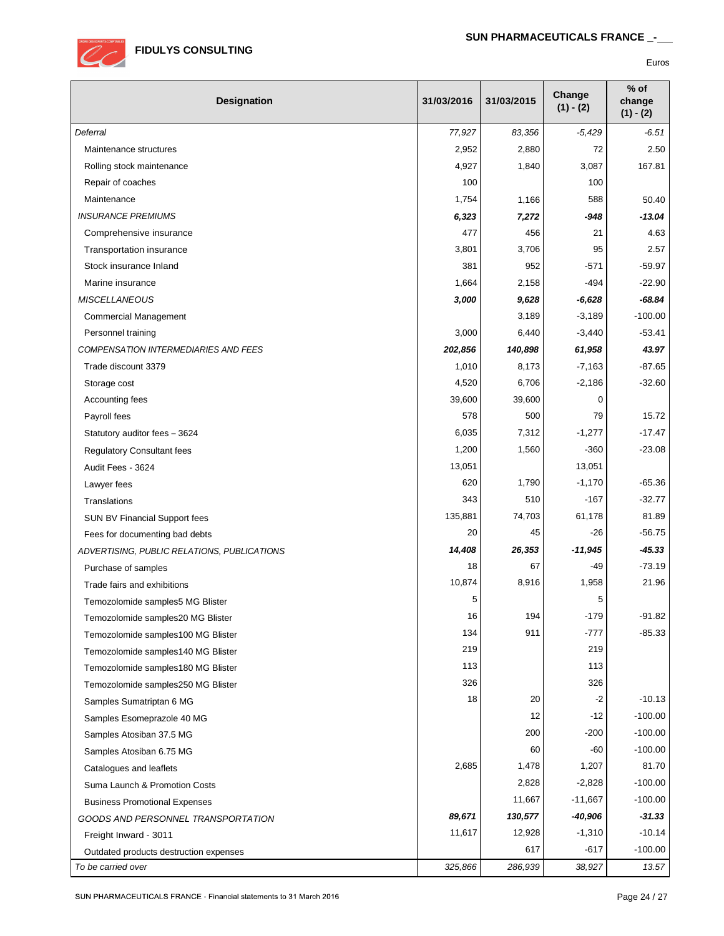

| Designation                                 | 31/03/2016 | 31/03/2015 | Change<br>$(1) - (2)$ | $%$ of<br>change<br>$(1) - (2)$ |
|---------------------------------------------|------------|------------|-----------------------|---------------------------------|
| Deferral                                    | 77,927     | 83,356     | $-5,429$              | -6.51                           |
| Maintenance structures                      | 2,952      | 2,880      | 72                    | 2.50                            |
| Rolling stock maintenance                   | 4,927      | 1,840      | 3,087                 | 167.81                          |
| Repair of coaches                           | 100        |            | 100                   |                                 |
| Maintenance                                 | 1,754      | 1,166      | 588                   | 50.40                           |
| <b>INSURANCE PREMIUMS</b>                   | 6,323      | 7,272      | -948                  | $-13.04$                        |
| Comprehensive insurance                     | 477        | 456        | 21                    | 4.63                            |
| Transportation insurance                    | 3,801      | 3,706      | 95                    | 2.57                            |
| Stock insurance Inland                      | 381        | 952        | $-571$                | $-59.97$                        |
| Marine insurance                            | 1,664      | 2,158      | -494                  | $-22.90$                        |
| <b>MISCELLANEOUS</b>                        | 3,000      | 9,628      | $-6,628$              | $-68.84$                        |
| <b>Commercial Management</b>                |            | 3,189      | $-3,189$              | $-100.00$                       |
| Personnel training                          | 3,000      | 6,440      | $-3,440$              | $-53.41$                        |
| <b>COMPENSATION INTERMEDIARIES AND FEES</b> | 202,856    | 140,898    | 61,958                | 43.97                           |
| Trade discount 3379                         | 1,010      | 8,173      | $-7,163$              | $-87.65$                        |
| Storage cost                                | 4,520      | 6,706      | $-2,186$              | $-32.60$                        |
| Accounting fees                             | 39,600     | 39,600     | 0                     |                                 |
| Payroll fees                                | 578        | 500        | 79                    | 15.72                           |
| Statutory auditor fees - 3624               | 6,035      | 7,312      | $-1,277$              | $-17.47$                        |
| <b>Regulatory Consultant fees</b>           | 1,200      | 1,560      | $-360$                | $-23.08$                        |
| Audit Fees - 3624                           | 13,051     |            | 13,051                |                                 |
| Lawyer fees                                 | 620        | 1,790      | $-1,170$              | $-65.36$                        |
| Translations                                | 343        | 510        | $-167$                | $-32.77$                        |
| SUN BV Financial Support fees               | 135,881    | 74,703     | 61,178                | 81.89                           |
| Fees for documenting bad debts              | 20         | 45         | $-26$                 | $-56.75$                        |
| ADVERTISING, PUBLIC RELATIONS, PUBLICATIONS | 14,408     | 26,353     | $-11,945$             | $-45.33$                        |
| Purchase of samples                         | 18         | 67         | $-49$                 | $-73.19$                        |
| Trade fairs and exhibitions                 | 10,874     | 8,916      | 1,958                 | 21.96                           |
| Temozolomide samples5 MG Blister            | 5          |            | 5                     |                                 |
| Temozolomide samples20 MG Blister           | 16         | 194        | $-179$                | $-91.82$                        |
| Temozolomide samples100 MG Blister          | 134        | 911        | -777                  | $-85.33$                        |
| Temozolomide samples140 MG Blister          | 219        |            | 219                   |                                 |
| Temozolomide samples180 MG Blister          | 113        |            | 113                   |                                 |
| Temozolomide samples250 MG Blister          | 326        |            | 326                   |                                 |
| Samples Sumatriptan 6 MG                    | 18         | 20         | $-2$                  | $-10.13$                        |
| Samples Esomeprazole 40 MG                  |            | 12         | $-12$                 | $-100.00$                       |
| Samples Atosiban 37.5 MG                    |            | 200        | $-200$                | $-100.00$                       |
| Samples Atosiban 6.75 MG                    |            | 60         | $-60$                 | $-100.00$                       |
| Catalogues and leaflets                     | 2,685      | 1,478      | 1,207                 | 81.70                           |
| Suma Launch & Promotion Costs               |            | 2,828      | $-2,828$              | $-100.00$                       |
| <b>Business Promotional Expenses</b>        |            | 11,667     | $-11,667$             | $-100.00$                       |
| GOODS AND PERSONNEL TRANSPORTATION          | 89,671     | 130,577    | -40,906               | $-31.33$                        |
| Freight Inward - 3011                       | 11,617     | 12,928     | $-1,310$              | $-10.14$                        |
| Outdated products destruction expenses      |            | 617        | $-617$                | $-100.00$                       |
| To be carried over                          | 325,866    | 286,939    | 38,927                | 13.57                           |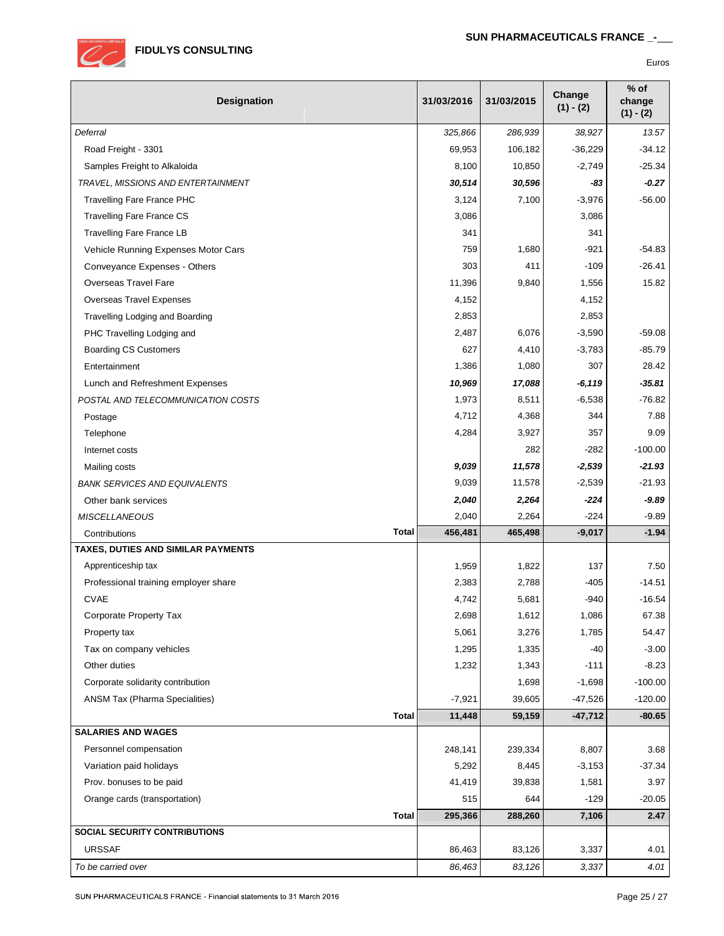

| <b>Designation</b>                                  | 31/03/2016     | 31/03/2015     | Change<br>$(1) - (2)$ | $%$ of<br>change<br>$(1) - (2)$ |
|-----------------------------------------------------|----------------|----------------|-----------------------|---------------------------------|
| Deferral                                            | 325,866        | 286,939        | 38,927                | 13.57                           |
| Road Freight - 3301                                 | 69,953         | 106,182        | $-36,229$             | $-34.12$                        |
| Samples Freight to Alkaloida                        | 8,100          | 10,850         | $-2,749$              | $-25.34$                        |
| TRAVEL, MISSIONS AND ENTERTAINMENT                  | 30,514         | 30,596         | -83                   | $-0.27$                         |
| <b>Travelling Fare France PHC</b>                   | 3,124          | 7,100          | $-3,976$              | $-56.00$                        |
| <b>Travelling Fare France CS</b>                    | 3,086          |                | 3,086                 |                                 |
| <b>Travelling Fare France LB</b>                    | 341            |                | 341                   |                                 |
| Vehicle Running Expenses Motor Cars                 | 759            | 1,680          | $-921$                | $-54.83$                        |
| Conveyance Expenses - Others                        | 303            | 411            | $-109$                | $-26.41$                        |
| <b>Overseas Travel Fare</b>                         | 11,396         | 9,840          | 1,556                 | 15.82                           |
| <b>Overseas Travel Expenses</b>                     | 4,152          |                | 4,152                 |                                 |
| Travelling Lodging and Boarding                     | 2,853          |                | 2,853                 |                                 |
| PHC Travelling Lodging and                          | 2,487          | 6,076          | $-3,590$              | $-59.08$                        |
| <b>Boarding CS Customers</b>                        | 627            | 4,410          | $-3,783$              | $-85.79$                        |
| Entertainment                                       | 1,386          | 1,080          | 307                   | 28.42                           |
| Lunch and Refreshment Expenses                      | 10,969         | 17,088         | $-6,119$              | $-35.81$                        |
| POSTAL AND TELECOMMUNICATION COSTS                  | 1,973          | 8,511          | $-6,538$              | $-76.82$                        |
| Postage                                             | 4,712          | 4,368          | 344                   | 7.88                            |
| Telephone                                           | 4,284          | 3,927          | 357                   | 9.09                            |
| Internet costs                                      |                | 282            | $-282$                | $-100.00$                       |
| Mailing costs                                       | 9,039          | 11,578         | $-2,539$              | $-21.93$                        |
| <b>BANK SERVICES AND EQUIVALENTS</b>                | 9,039          | 11,578         | $-2,539$              | $-21.93$                        |
| Other bank services                                 | 2,040          | 2,264          | $-224$                | $-9.89$                         |
| <b>MISCELLANEOUS</b>                                | 2,040          | 2,264          | $-224$                | $-9.89$                         |
| <b>Total</b><br>Contributions                       | 456,481        | 465,498        | $-9,017$              | $-1.94$                         |
| TAXES, DUTIES AND SIMILAR PAYMENTS                  |                |                |                       |                                 |
| Apprenticeship tax                                  | 1,959          | 1,822          | 137                   | 7.50                            |
| Professional training employer share<br><b>CVAE</b> | 2,383          | 2,788          | $-405$                | $-14.51$                        |
| <b>Corporate Property Tax</b>                       | 4,742<br>2,698 | 5,681<br>1,612 | $-940$<br>1,086       | $-16.54$<br>67.38               |
|                                                     | 5,061          |                | 1,785                 | 54.47                           |
| Property tax<br>Tax on company vehicles             | 1,295          | 3,276<br>1,335 | -40                   | $-3.00$                         |
| Other duties                                        | 1,232          | 1,343          | $-111$                | $-8.23$                         |
| Corporate solidarity contribution                   |                | 1,698          | $-1,698$              | $-100.00$                       |
| ANSM Tax (Pharma Specialities)                      | $-7,921$       | 39,605         | $-47,526$             | $-120.00$                       |
| <b>Total</b>                                        | 11,448         | 59,159         | $-47,712$             | $-80.65$                        |
| <b>SALARIES AND WAGES</b>                           |                |                |                       |                                 |
| Personnel compensation                              | 248,141        | 239,334        | 8,807                 | 3.68                            |
| Variation paid holidays                             | 5,292          | 8,445          | $-3,153$              | $-37.34$                        |
| Prov. bonuses to be paid                            | 41,419         | 39,838         | 1,581                 | 3.97                            |
| Orange cards (transportation)                       | 515            | 644            | $-129$                | $-20.05$                        |
| <b>Total</b>                                        | 295,366        | 288,260        | 7,106                 | 2.47                            |
| SOCIAL SECURITY CONTRIBUTIONS                       |                |                |                       |                                 |
| <b>URSSAF</b>                                       | 86,463         | 83,126         | 3,337                 | 4.01                            |
| To be carried over                                  | 86,463         | 83,126         | 3,337                 | 4.01                            |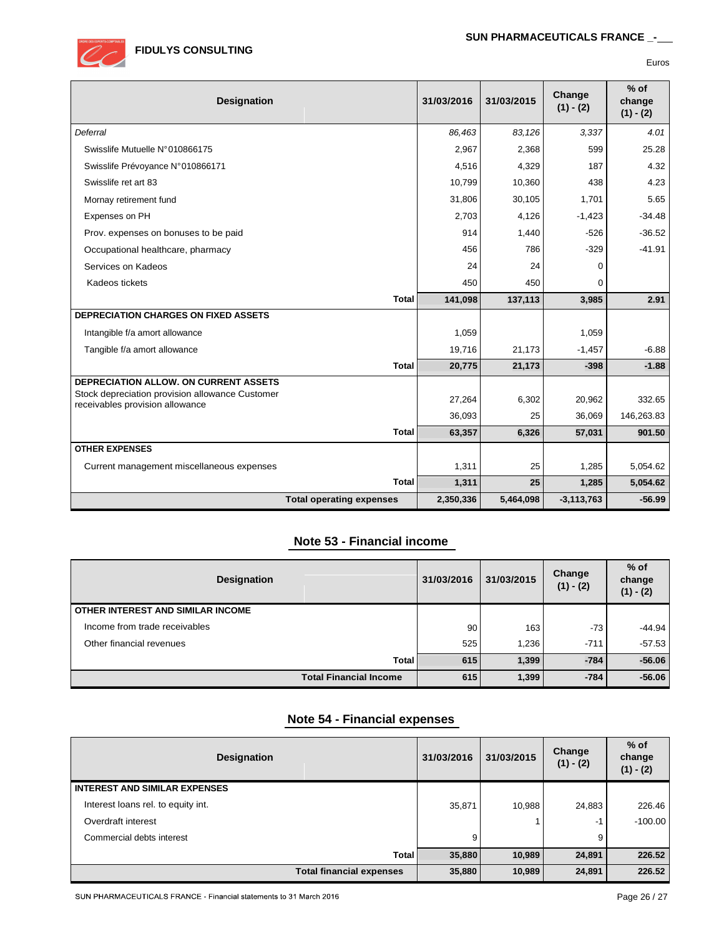

| ×<br>۰.<br>۰.<br>× |  |
|--------------------|--|

| Designation                                                                        |                                 | 31/03/2016 | 31/03/2015 | Change<br>$(1) - (2)$ | $%$ of<br>change<br>$(1) - (2)$ |
|------------------------------------------------------------------------------------|---------------------------------|------------|------------|-----------------------|---------------------------------|
| Deferral                                                                           |                                 | 86.463     | 83,126     | 3,337                 | 4.01                            |
| Swisslife Mutuelle N°010866175                                                     |                                 | 2,967      | 2,368      | 599                   | 25.28                           |
| Swisslife Prévoyance N°010866171                                                   |                                 | 4,516      | 4,329      | 187                   | 4.32                            |
| Swisslife ret art 83                                                               |                                 | 10,799     | 10,360     | 438                   | 4.23                            |
| Mornay retirement fund                                                             |                                 | 31,806     | 30,105     | 1,701                 | 5.65                            |
| Expenses on PH                                                                     |                                 | 2,703      | 4,126      | $-1,423$              | $-34.48$                        |
| Prov. expenses on bonuses to be paid                                               |                                 | 914        | 1,440      | $-526$                | $-36.52$                        |
| Occupational healthcare, pharmacy                                                  |                                 | 456        | 786        | $-329$                | $-41.91$                        |
| Services on Kadeos                                                                 |                                 | 24         | 24         | 0                     |                                 |
| Kadeos tickets                                                                     |                                 | 450        | 450        | 0                     |                                 |
|                                                                                    | <b>Total</b>                    | 141,098    | 137,113    | 3,985                 | 2.91                            |
| <b>DEPRECIATION CHARGES ON FIXED ASSETS</b>                                        |                                 |            |            |                       |                                 |
| Intangible f/a amort allowance                                                     |                                 | 1,059      |            | 1,059                 |                                 |
| Tangible f/a amort allowance                                                       |                                 | 19,716     | 21,173     | $-1,457$              | $-6.88$                         |
|                                                                                    | <b>Total</b>                    | 20,775     | 21,173     | $-398$                | $-1.88$                         |
| DEPRECIATION ALLOW, ON CURRENT ASSETS                                              |                                 |            |            |                       |                                 |
| Stock depreciation provision allowance Customer<br>receivables provision allowance |                                 | 27,264     | 6,302      | 20,962                | 332.65                          |
|                                                                                    |                                 | 36,093     | 25         | 36,069                | 146,263.83                      |
|                                                                                    | <b>Total</b>                    | 63,357     | 6,326      | 57,031                | 901.50                          |
| <b>OTHER EXPENSES</b>                                                              |                                 |            |            |                       |                                 |
| Current management miscellaneous expenses                                          |                                 | 1,311      | 25         | 1,285                 | 5,054.62                        |
|                                                                                    | <b>Total</b>                    | 1,311      | 25         | 1,285                 | 5,054.62                        |
|                                                                                    | <b>Total operating expenses</b> | 2,350,336  | 5,464,098  | $-3,113,763$          | $-56.99$                        |

# **Note 53 - Financial income**

| <b>Designation</b>                |              | 31/03/2016 | 31/03/2015       | Change<br>$(1) - (2)$ | $%$ of<br>change<br>$(1) - (2)$ |
|-----------------------------------|--------------|------------|------------------|-----------------------|---------------------------------|
| OTHER INTEREST AND SIMILAR INCOME |              |            |                  |                       |                                 |
| Income from trade receivables     |              | 90         | 163 <sub>1</sub> | $-73$                 | $-44.94$                        |
| Other financial revenues          |              | 525        | 1.236            | $-711$                | $-57.53$                        |
|                                   | <b>Total</b> | 615        | 1,399            | $-784$                | $-56.06$                        |
| <b>Total Financial Income</b>     |              | 615        | 1,399            | $-784$                | $-56.06$                        |

### **Note 54 - Financial expenses**

| <b>Designation</b>                   | 31/03/2016 | 31/03/2015 | Change<br>$(1) - (2)$ | $%$ of<br>change<br>$(1) - (2)$ |
|--------------------------------------|------------|------------|-----------------------|---------------------------------|
| <b>INTEREST AND SIMILAR EXPENSES</b> |            |            |                       |                                 |
| Interest loans rel. to equity int.   | 35,871     | 10.988     | 24,883                | 226.46                          |
| Overdraft interest                   |            |            | $-1$                  | $-100.00$                       |
| Commercial debts interest            | 9          |            | 9                     |                                 |
| Total                                | 35,880     | 10,989     | 24,891                | 226.52                          |
| <b>Total financial expenses</b>      | 35,880     | 10,989     | 24,891                | 226.52                          |